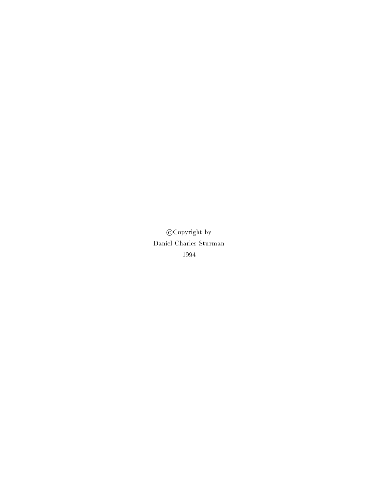$\bigodot \text{Copyright by}$ Daniel Charles Sturman 1994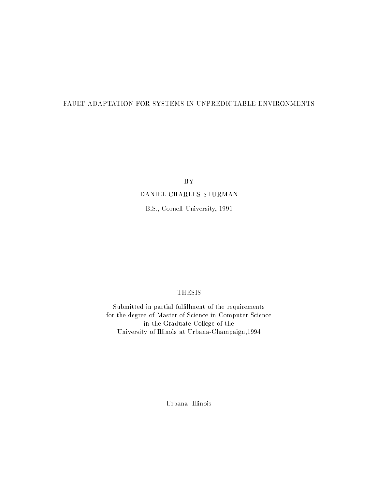### FAULT-ADAPTATION FOR SYSTEMS IN UNPREDICTABLE ENVIRONMENTS

BY

DANIEL CHARLES STURMAN

B.S., Cornell University, 1991

## THESIS

Submitted in partial fulfillment of the requirements for the degree of Master of Science in Computer Science in the Graduate College of the University of Illinois at Urbana-Champaign,1994

Urbana, Illinois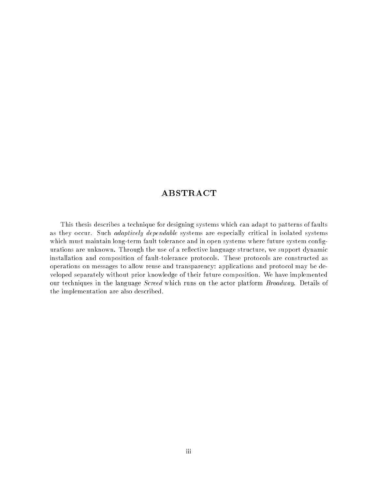## ABSTRACT

This thesis describes a technique for designing systems which can adapt to patterns of faults as they occur. Such *adaptively dependable* systems are especially critical in isolated systems which must maintain long-term fault tolerance and in open systems where future system configurations are unknown. Through the use of a reflective language structure, we support dynamic installation and composition of fault-tolerance protocols. These protocols are constructed as operations on messages to allow reuse and transparency: applications and protocol may be developed separately without prior knowledge of their future composition. We have implemented our techniques in the language *Screed* which runs on the actor platform *Broadway*. Details of the implementation are also described.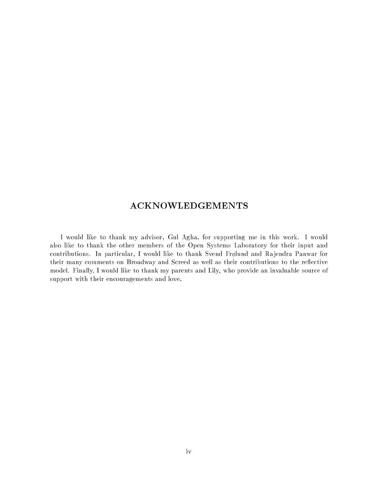## ACKNOWLEDGEMENTS

I would like to thank my advisor, Gul Agha, for supporting me in this work. I would also like to thank the other members of the Open Systems Laboratory for their input and contributions. In particular, I would like to thank Svend Frølund and Rajendra Panwar for their many comments on Broadway and Screed as well as their contributions to the reflective model. Finally, I would like to thank my parents and Lily, who provide an invaluable source of support with their encouragements and love.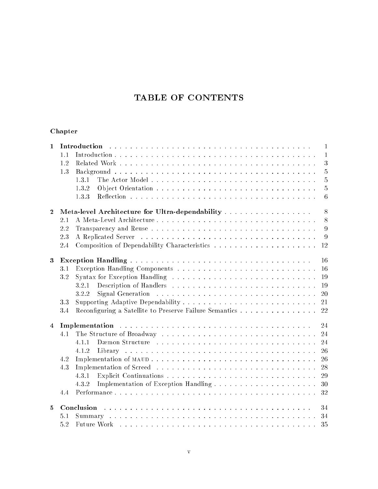## TABLE OF CONTENTS

## Chapter

| 1                |     | $\mathbf{1}$                                                  |
|------------------|-----|---------------------------------------------------------------|
|                  | 1.1 | $\mathbf{1}$                                                  |
|                  | 1.2 | 3                                                             |
|                  | 1.3 | $\overline{5}$                                                |
|                  |     | $\overline{5}$<br>1.3.1                                       |
|                  |     | $\overline{5}$<br>1.3.2                                       |
|                  |     | 1.3.3<br>6                                                    |
| $\mathbf{2}$     |     | 8<br>Meta-level Architecture for Ultra-dependability          |
|                  | 2.1 | 8                                                             |
|                  | 2.2 | 9                                                             |
|                  | 2.3 | 9                                                             |
|                  | 2.4 | 12                                                            |
| $\boldsymbol{3}$ |     | 16                                                            |
|                  | 3.1 | 16                                                            |
|                  | 3.2 | 19                                                            |
|                  |     | 19<br>3.2.1                                                   |
|                  |     | 3.2.2<br>20                                                   |
|                  | 33  | 21                                                            |
|                  | 3.4 | Reconfiguring a Satellite to Preserve Failure Semantics<br>22 |
| $\overline{4}$   |     | 24                                                            |
|                  | 4.1 | 24                                                            |
|                  |     | 24<br>4.1.1                                                   |
|                  |     | 4.1.2<br>26                                                   |
|                  | 4.2 | Implementation of MAUD<br>26                                  |
|                  | 4.3 | 28                                                            |
|                  |     | 29<br>4.3.1                                                   |
|                  |     | 30<br>4.3.2                                                   |
|                  | 4.4 | 32                                                            |
| 5                |     | 34                                                            |
|                  | 5.1 |                                                               |
|                  | 5.2 |                                                               |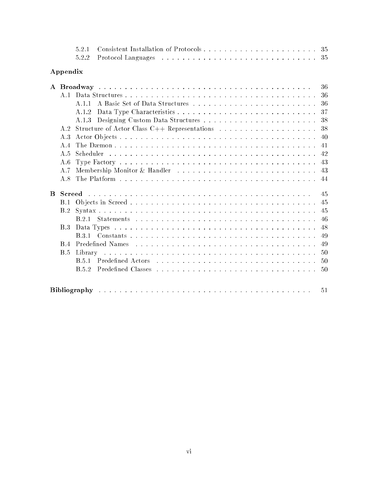|    |            | 5.2.1        |    |
|----|------------|--------------|----|
|    |            | 5.2.2        |    |
|    | Appendix   |              |    |
|    |            |              | 36 |
|    |            |              | 36 |
|    |            | A.1.1        | 36 |
|    |            | A.1.2        | 37 |
|    |            | A.1.3        | 38 |
|    | A.2        |              | 38 |
|    | A 3        |              | 40 |
|    | A.4        |              | 41 |
|    | A 5        |              | 42 |
|    | A.6        |              | 43 |
|    | A.7        |              | 43 |
|    | A.8        |              | 44 |
| B. |            |              | 45 |
|    | B.1        |              | 45 |
|    | B.2        |              | 45 |
|    |            |              | 46 |
|    | <b>B</b> 3 |              | 48 |
|    |            |              | 49 |
|    | B.4        |              | 49 |
|    | <b>B.5</b> |              | 50 |
|    |            |              | 50 |
|    |            | <b>B</b> 5.2 | 50 |
|    |            |              | 51 |
|    |            |              |    |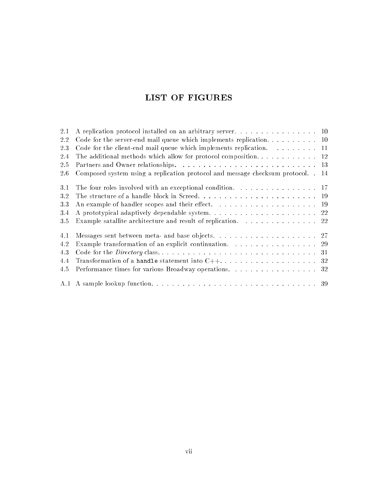## LIST OF FIGURES

| 2.1 |                                                                                                    |  |
|-----|----------------------------------------------------------------------------------------------------|--|
| 2.2 | Code for the server-end mail queue which implements replication. $\dots \dots \dots \dots$ 10      |  |
| 2.3 | Code for the client-end mail queue which implements replication. 11                                |  |
| 2.4 | The additional methods which allow for protocol composition. 12                                    |  |
| 2.5 |                                                                                                    |  |
| 2.6 | Composed system using a replication protocol and message checksum protocol. . 14                   |  |
| 3.1 | The four roles involved with an exceptional condition. $\ldots \ldots \ldots \ldots \ldots \ldots$ |  |
| 3.2 |                                                                                                    |  |
| 3.3 |                                                                                                    |  |
| 3.4 |                                                                                                    |  |
| 3.5 | Example satallite architecture and result of replication. $\ldots \ldots \ldots \ldots \ldots$ 22  |  |
| 4.1 |                                                                                                    |  |
| 4.2 | Example transformation of an explicit continuation. 29                                             |  |
| 4.3 |                                                                                                    |  |
| 4.4 |                                                                                                    |  |
| 4.5 | Performance times for various Broadway operations. 32                                              |  |
|     |                                                                                                    |  |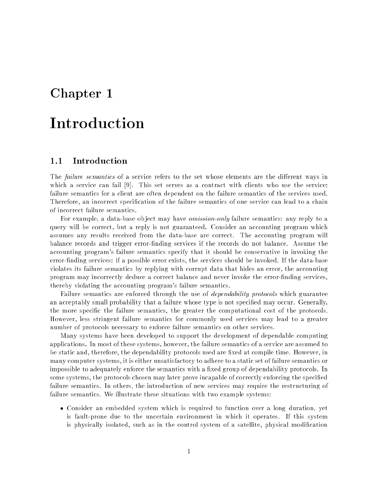## Chapter 1

# Introduction

## 1.1 Introduction

The *failure semantics* of a service refers to the set whose elements are the different ways in which a service can fail [9]. This set serves as a contract with clients who use the service: failure semantics for a client are often dependent on the failure semantics of the services used. Therefore, an incorrect specication of the failure semantics of one service can lead to a chain of incorrect failure semantics.

For example, a data-base object may have *omission-only* failure semantics: any reply to a query will be correct, but a reply is not guaranteed. Consider an accounting program which assumes any results received from the data-base are correct. The accounting program will balance records and trigger error-finding services if the records do not balance. Assume the accounting program's failure semantics specify that it should be conservative in invoking the error-nding services: if a possible error exists, the services should be invoked. If the data-base violates its failure semantics by replying with corrupt data that hides an error, the accounting program may incorrectly deduce a correct balance and never invoke the error-finding services, thereby violating the accounting program's failure semantics.

Failure semantics are enforced through the use of *dependability protocols* which guarantee an acceptably small probability that a failure whose type is not specied may occur. Generally, the more specific the failure semantics, the greater the computational cost of the protocols. However, less stringent failure semantics for commonly used services may lead to a greater number of protocols necessary to enforce failure semantics on other services.

Many systems have been developed to support the development of dependable computing applications. In most of these systems, however, the failure semantics of a service are assumed to be static and, therefore, the dependability protocols used are fixed at compile time. However, in many computer systems, it is either unsatisfactory to adhere to a static set of failure semantics or impossible to adequately enforce the semantics with a fixed group of dependability protocols. In some systems, the protocols chosen may later prove incapable of correctly enforcing the specied failure semantics. In others, the introduction of new services may require the restructuring of failure semantics. We illustrate these situations with two example systems:

consider an empedded system which is required to function of the a long duration, yet is fault-prone due to the uncertain environment in which it operates. If this system is physically isolated, such as in the control system of a satellite, physical modification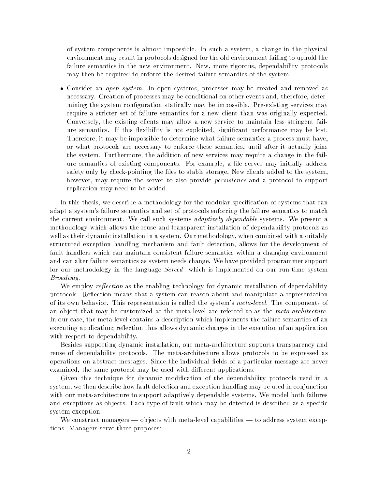of system components is almost impossible. In such a system, a change in the physical environment may result in protocols designed for the old environment failing to uphold the failure semantics in the new environment. New, more rigorous, dependability protocols may then be required to enforce the desired failure semantics of the system.

 Consider an open system. In open systems, processes may be created and removed as necessary. Creation of processes may be conditional on other events and, therefore, determining the system configuration statically may be impossible. Pre-existing services may require a stricter set of failure semantics for a new client than was originally expected. Conversely, the existing clients may allow a new service to maintain less stringent failure semantics. If this flexibility is not exploited, significant performance may be lost. Therefore, it may be impossible to determine what failure semantics a process must have, or what protocols are necessary to enforce these semantics, until after it actually joins the system. Furthermore, the addition of new services may require a change in the failure semantics of existing components. For example, a file server may initially address safety only by check-pointing the files to stable storage. New clients added to the system, however, may require the server to also provide persistence and a protocol to support replication may need to be added.

In this thesis, we describe a methodology for the modular specication of systems that can adapt a system's failure semantics and set of protocols enforcing the failure semantics to match the current environment. We call such systems *adaptively dependable* systems. We present a methodology which allows the reuse and transparent installation of dependability protocols as well as their dynamic installation in a system. Our methodology, when combined with a suitably structured exception handling mechanism and fault detection, allows for the development of fault handlers which can maintain consistent failure semantics within a changing environment and can alter failure semantics as system needs change. We have provided programmer support for our methodology in the language *Screed* which is implemented on our run-time system Broadway.

We employ *reflection* as the enabling technology for dynamic installation of dependability protocols. Re
ection means that a system can reason about and manipulate a representation of its own behavior. This representation is called the system's meta-level. The components of an object that may be customized at the meta-level are referred to as the  $meta-architecture$ . In our case, the meta-level contains a description which implements the failure semantics of an executing application; reflection thus allows dynamic changes in the execution of an application with respect to dependability.

Besides supporting dynamic installation, our meta-architecture supports transparency and reuse of dependability protocols. The meta-architecture allows protocols to be expressed as operations on abstract messages. Since the individual fields of a particular message are never examined, the same protocol may be used with different applications.

Given this technique for dynamic modication of the dependability protocols used in a system, we then describe how fault detection and exception handling may be used in conjunction with our meta-architecture to support adaptively dependable systems. We model both failures and exceptions as objects. Each type of fault which may be detected is described as a specific system exception.

We construct managers  $-$  objects with meta-level capabilities  $-$  to address system exceptions. Managers serve three purposes: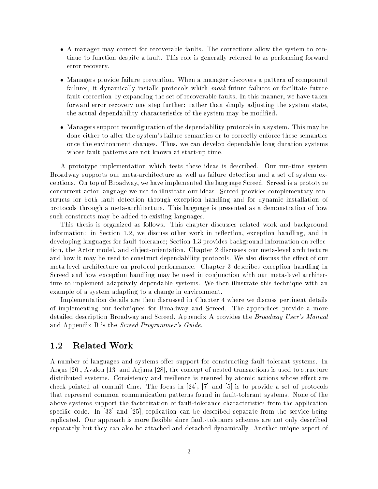- A manager may correct for recoverable faults. The corrections allow the system to continue to function despite a fault. This role is generally referred to as performing forward error recovery.
- Managers provide failure prevention. When a manager discovers a pattern of component failures, it dynamically installs protocols which mask future failures or facilitate future fault-correction by expanding the set of recoverable faults. In this manner, we have taken forward error recovery one step further: rather than simply adjusting the system state, the actual dependability characteristics of the system may be modified.
- Managers support reconguration of the dependability protocols in a system. This may be done either to alter the system's failure semantics or to correctly enforce these semantics once the environment changes. Thus, we can develop dependable long duration systems whose fault patterns are not known at start-up time.

A prototype implementation which tests these ideas is described. Our run-time system Broadway supports our meta-architecture as well as failure detection and a set of system exceptions. On top of Broadway, we have implemented the language Screed. Screed is a prototype concurrent actor language we use to illustrate our ideas. Screed provides complementary constructs for both fault detection through exception handling and for dynamic installation of protocols through a meta-architecture. This language is presented as a demonstration of how such constructs may be added to existing languages.

This thesis is organized as follows. This chapter discusses related work and background information: in Section 1.2, we discuss other work in reflection, exception handling, and in developing languages for fault-tolerance; Section 1.3 provides background information on re
ection, the Actor model, and ob ject-orientation. Chapter 2 discusses our meta-level architecture and how it may be used to construct dependability protocols. We also discuss the effect of our meta-level architecture on protocol performance. Chapter 3 describes exception handling in Screed and how exception handling may be used in conjunction with our meta-level architecture to implement adaptively dependable systems. We then illustrate this technique with an example of a system adapting to a change in environment.

Implementation details are then discussed in Chapter 4 where we discuss pertinent details of implementing our techniques for Broadway and Screed. The appendices provide a more detailed description Broadway and Screed. Appendix A provides the *Broadway User's Manual* and Appendix B is the *Screed Programmer's Guide*.

#### $1.2$ Related Work

A number of languages and systems offer support for constructing fault-tolerant systems. In Argus [20], Avalon [13] and Arjuna [28], the concept of nested transactions is used to structure distributed systems. Consistency and resilience is ensured by atomic actions whose effect are check-pointed at commit time. The focus in [24], [7] and [5] is to provide a set of protocols that represent common communication patterns found in fault-tolerant systems. None of the above systems support the factorization of fault-tolerance characteristics from the application specic code. In [33] and [25], replication can be described separate from the service being replicated. Our approach is more flexible since fault-tolerance schemes are not only described separately but they can also be attached and detached dynamically. Another unique aspect of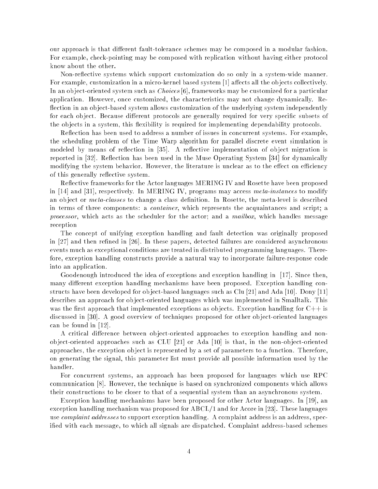our approach is that different fault-tolerance schemes may be composed in a modular fashion. For example, check-pointing may be composed with replication without having either protocol know about the other.

Non-reflective systems which support customization do so only in a system-wide manner. For example, customization in a micro-kernel based system  $[1]$  affects all the objects collectively. In an object-oriented system such as *Choices* [6], frameworks may be customized for a particular application. However, once customized, the characteristics may not change dynamically. Re flection in an object-based system allows customization of the underlying system independently for each object. Because different protocols are generally required for very specific subsets of the objects in a system, this flexibility is required for implementing dependability protocols.

Re
ection has been used to address a number of issues in concurrent systems. For example, the scheduling problem of the Time Warp algorithm for parallel discrete event simulation is modeled by means of reflection in [35]. A reflective implementation of object migration is reported in [32]. Reflection has been used in the Muse Operating System [34] for dynamically modifying the system behavior. However, the literature is unclear as to the effect on efficiency of this generally reflective system.

Re
ective frameworks for the Actor languages MERING IV and Rosette have been proposed in [14] and [31], respectively. In MERING IV, programs may access meta-instances to modify an object or *meta-classes* to change a class definition. In Rosette, the meta-level is described in terms of three components: a *container*, which represents the acquaintances and script; a processor, which acts as the scheduler for the actor; and a mailbox, which handles message reception

The concept of unifying exception handling and fault detection was originally proposed in  $[27]$  and then refined in  $[26]$ . In these papers, detected failures are considered asynchronous events much as exceptional conditions are treated in distributed programming languages. Therefore, exception handling constructs provide a natural way to incorporate failure-response code into an application.

Goodenough introduced the idea of exceptions and exception handling in [17]. Since then, many different exception handling mechanisms have been proposed. Exception handling constructs have been developed for ob ject-based languages such as Clu [21] and Ada [10]. Dony [11] describes an approach for ob ject-oriented languages which was implemented in Smalltalk. This was the first approach that implemented exceptions as objects. Exception handling for  $C++$  is discussed in [30]. A good overview of techniques proposed for other ob ject-oriented languages can be found in [12].

A critical difference between object-oriented approaches to exception handling and nonobject-oriented approaches such as CLU  $[21]$  or Ada  $[10]$  is that, in the non-object-oriented approaches, the exception ob ject is represented by a set of parameters to a function. Therefore, on generating the signal, this parameter list must provide all possible information used by the handler.

For concurrent systems, an approach has been proposed for languages which use RPC communication [8]. However, the technique is based on synchronized components which allows their constructions to be closer to that of a sequential system than an asynchronous system.

Exception handling mechanisms have been proposed for other Actor languages. In [19], an exception handling mechanism was proposed for ABCL/1 and for Acore in [23]. These languages use *complaint addresses* to support exception handling. A complaint address is an address, specied with each message, to which all signals are dispatched. Complaint address-based schemes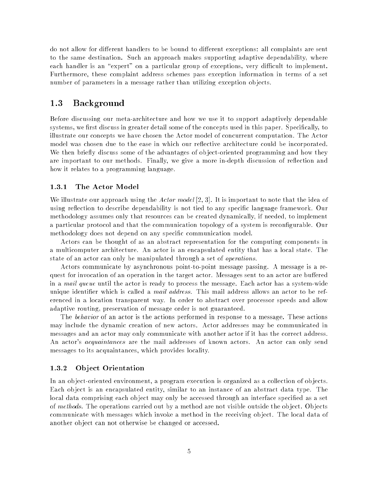do not allow for different handlers to be bound to different exceptions: all complaints are sent to the same destination. Such an approach makes supporting adaptive dependability, where each handler is an "expert" on a particular group of exceptions, very difficult to implement. Furthermore, these complaint address schemes pass exception information in terms of a set number of parameters in a message rather than utilizing exception ob jects.

## 1.3 Background

Before discussing our meta-architecture and how we use it to support adaptively dependable systems, we first discuss in greater detail some of the concepts used in this paper. Specifically, to illustrate our concepts we have chosen the Actor model of concurrent computation. The Actor model was chosen due to the ease in which our reflective architecture could be incorporated. We then briefly discuss some of the advantages of object-oriented programming and how they are important to our methods. Finally, we give a more in-depth discussion of reflection and how it relates to a programming language.

### 1.3.1 The Actor Model

We illustrate our approach using the Actor model [2, 3]. It is important to note that the idea of using reflection to describe dependability is not tied to any specific language framework. Our methodology assumes only that resources can be created dynamically, if needed, to implement a particular protocol and that the communication topology of a system is recongurable. Our methodology does not depend on any specic communication model.

Actors can be thought of as an abstract representation for the computing components in a multicomputer architecture. An actor is an encapsulated entity that has a local state. The state of an actor can only be manipulated through a set of *operations*.

Actors communicate by asynchronous point-to-point message passing. A message is a request for invocation of an operation in the target actor. Messages sent to an actor are buffered in a *mail queue* until the actor is ready to process the message. Each actor has a system-wide unique identifier which is called a *mail address*. This mail address allows an actor to be referenced in a location transparent way. In order to abstract over processor speeds and allow adaptive routing, preservation of message order is not guaranteed.

The *behavior* of an actor is the actions performed in response to a message. These actions may include the dynamic creation of new actors. Actor addresses may be communicated in messages and an actor may only communicate with another actor if it has the correct address. An actor's *acquaintances* are the mail addresses of known actors. An actor can only send messages to its acquaintances, which provides locality.

### 1.3.2 Ob ject Orientation

In an ob ject-oriented environment, a program execution is organized as a collection of ob jects. Each ob ject is an encapsulated entity, similar to an instance of an abstract data type. The local data comprising each object may only be accessed through an interface specified as a set of methods. The operations carried out by a method are not visible outside the object. Objects communicate with messages which invoke a method in the receiving object. The local data of another ob ject can not otherwise be changed or accessed.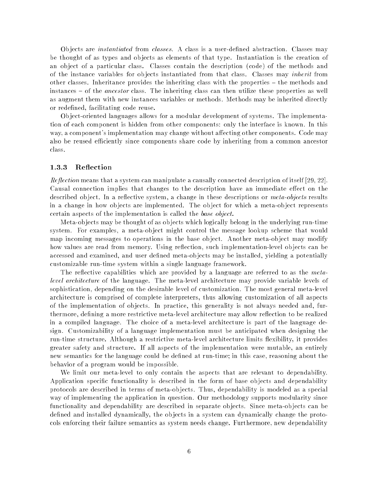Objects are *instantiated* from *classes*. A class is a user-defined abstraction. Classes may be thought of as types and ob jects as elements of that type. Instantiation is the creation of an ob ject of a particular class. Classes contain the description (code) of the methods and of the instance variables for objects instantiated from that class. Classes may *inherit* from other classes. Inheritance provides the inheriting class with the properties  $-$  the methods and instances  $-$  of the *ancestor* class. The inheriting class can then utilize these properties as well as augment them with new instances variables or methods. Methods may be inherited directly or redened, facilitating code reuse.

Ob ject-oriented languages allows for a modular development of systems. The implementation of each component is hidden from other components: only the interface is known. In this way, a component's implementation may change without affecting other components. Code may also be reused efficiently since components share code by inheriting from a common ancestor class.

#### 1.3.3 Reflection

Reflection means that a system can manipulate a causally connected description of itself [29, 22]. Causal connection implies that changes to the description have an immediate effect on the described object. In a reflective system, a change in these descriptions or *meta-objects* results in a change in how ob jects are implemented. The ob ject for which a meta-ob ject represents certain aspects of the implementation is called the base object.

Meta-ob jects may be thought of as ob jects which logically belong in the underlying run-time system. For examples, a meta-object might control the message lookup scheme that would map incoming messages to operations in the base object. Another meta-object may modify how values are read from memory. Using reflection, such implementation-level objects can be accessed and examined, and user defined meta-objects may be installed, vielding a potentially customizable run-time system within a single language framework.

The reflective capabilities which are provided by a language are referred to as the *meta*level architecture of the language. The meta-level architecture may provide variable levels of sophistication, depending on the desirable level of customization. The most general meta-level architecture is comprised of complete interpreters, thus allowing customization of all aspects of the implementation of ob jects. In practice, this generality is not always needed and, furthermore, defining a more restrictive meta-level architecture may allow reflection to be realized in a compiled language. The choice of a meta-level architecture is part of the language design. Customizability of a language implementation must be anticipated when designing the run-time structure. Although a restrictive meta-level architecture limits flexibility, it provides greater safety and structure. If all aspects of the implementation were mutable, an entirely new semantics for the language could be defined at run-time; in this case, reasoning about the behavior of a program would be impossible.

We limit our meta-level to only contain the aspects that are relevant to dependability. Application specic functionality is described in the form of base ob jects and dependability protocols are described in terms of meta-ob jects. Thus, dependability is modeled as a special way of implementing the application in question. Our methodology supports modularity since functionality and dependability are described in separate ob jects. Since meta-ob jects can be defined and installed dynamically, the objects in a system can dynamically change the protocols enforcing their failure semantics as system needs change. Furthermore, new dependability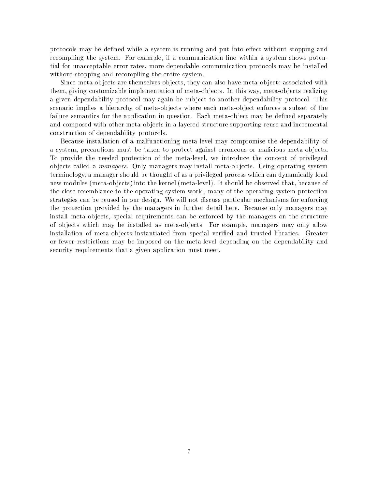protocols may be defined while a system is running and put into effect without stopping and recompiling the system. For example, if a communication line within a system shows potential for unacceptable error rates, more dependable communication protocols may be installed without stopping and recompiling the entire system.

Since meta-ob jects are themselves ob jects, they can also have meta-ob jects associated with them, giving customizable implementation of meta-ob jects. In this way, meta-ob jects realizing a given dependability protocol may again be sub ject to another dependability protocol. This scenario implies a hierarchy of meta-ob jects where each meta-ob ject enforces a subset of the failure semantics for the application in question. Each meta-object may be defined separately and composed with other meta-ob jects in a layered structure supporting reuse and incremental construction of dependability protocols.

Because installation of a malfunctioning meta-level may compromise the dependability of a system, precautions must be taken to protect against erroneous or malicious meta-ob jects. To provide the needed protection of the meta-level, we introduce the concept of privileged objects called a *managers*. Only managers may install meta-objects. Using operating system terminology, a manager should be thought of as a privileged process which can dynamically load new modules (meta-objects) into the kernel (meta-level). It should be observed that, because of the close resemblance to the operating system world, many of the operating system protection strategies can be reused in our design. We will not discuss particular mechanisms for enforcing the protection provided by the managers in further detail here. Because only managers may install meta-ob jects, special requirements can be enforced by the managers on the structure of ob jects which may be installed as meta-ob jects. For example, managers may only allow installation of meta-objects instantiated from special verified and trusted libraries. Greater or fewer restrictions may be imposed on the meta-level depending on the dependability and security requirements that a given application must meet.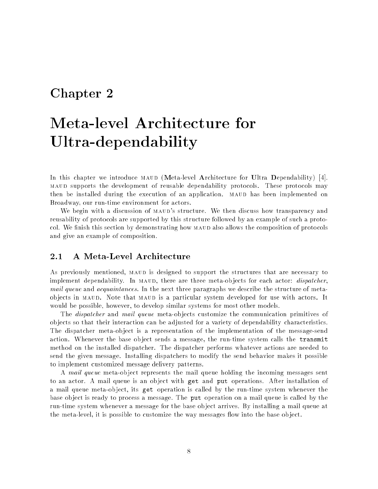## Chapter 2

# Meta-level Architecture for Ultra-dependability

In this chapter we introduce MAUD (Meta-level Architecture for Ultra Dependability) [4]. maud supports the development of reusable dependability protocols. These protocols may then be installed during the execution of an application. MAUD has been implemented on Broadway, our run-time environment for actors.

We begin with a discussion of MAUD's structure. We then discuss how transparency and reusability of protocols are supported by this structure followed by an example of such a protocol. We finish this section by demonstrating how MAUD also allows the composition of protocols and give an example of composition.

### 2.1 A Meta-Level Architecture

As previously mentioned, MAUD is designed to support the structures that are necessary to implement dependability. In MAUD, there are three meta-objects for each actor: *dispatcher*, mail queue and acquaintances. In the next three paragraphs we describe the structure of metaob jects in maud. Note that maud is a particular system developed for use with actors. It would be possible, however, to develop similar systems for most other models.

The *dispatcher* and *mail queue* meta-objects customize the communication primitives of ob jects so that their interaction can be adjusted for a variety of dependability characteristics. The dispatcher meta-ob ject is a representation of the implementation of the message-send action. Whenever the base object sends a message, the run-time system calls the transmit method on the installed dispatcher. The dispatcher performs whatever actions are needed to send the given message. Installing dispatchers to modify the send behavior makes it possible to implement customized message delivery patterns.

A *mail queue* meta-object represents the mail queue holding the incoming messages sent to an actor. A mail queue is an ob ject with get and put operations. After installation of a mail queue meta-ob ject, its get operation is called by the run-time system whenever the base ob ject is ready to process a message. The put operation on a mail queue is called by the run-time system whenever a message for the base ob ject arrives. By installing a mail queue at the meta-level, it is possible to customize the way messages flow into the base object.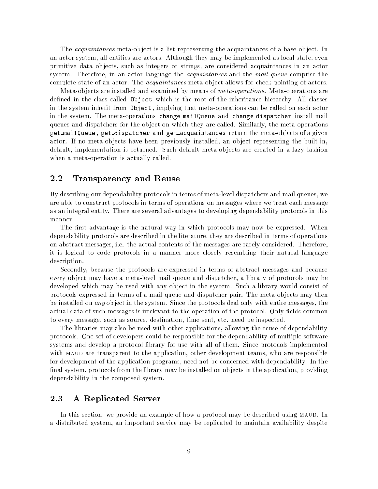The *acquaintances* meta-object is a list representing the acquaintances of a base object. In an actor system, all entities are actors. Although they may be implemented as local state, even primitive data ob jects, such as integers or strings, are considered acquaintances in an actor system. Therefore, in an actor language the *acquaintances* and the *mail queue* comprise the complete state of an actor. The *acquaintances* meta-object allows for check-pointing of actors.

Meta-objects are installed and examined by means of *meta-operations*. Meta-operations are defined in the class called 0bject which is the root of the inheritance hierarchy. All classes in the system inherit from Object , implying that meta-operations can be called on each actor in the system. The meta-operations change mailQueue and change dispatcher install mail queues and dispatchers for the ob ject on which they are called. Similarly, the meta-operations get mailQueue , get dispatcher and get acquaintances return the meta-ob jects of a given actor. If no meta-ob jects have been previously installed, an ob ject representing the built-in, default, implementation is returned. Such default meta-ob jects are created in a lazy fashion when a meta-operation is actually called.

#### $2.2$ Transparency and Reuse

By describing our dependability protocols in terms of meta-level dispatchers and mail queues, we are able to construct protocols in terms of operations on messages where we treat each message as an integral entity. There are several advantages to developing dependability protocols in this manner.

The first advantage is the natural way in which protocols may now be expressed. When dependability protocols are described in the literature, they are described in terms of operations on abstract messages, i.e. the actual contents of the messages are rarely considered. Therefore, it is logical to code protocols in a manner more closely resembling their natural language description.

Secondly, because the protocols are expressed in terms of abstract messages and because every ob ject may have a meta-level mail queue and dispatcher, a library of protocols may be developed which may be used with any ob ject in the system. Such a library would consist of protocols expressed in terms of a mail queue and dispatcher pair. The meta-ob jects may then be installed on *any* object in the system. Since the protocols deal only with entire messages, the actual data of such messages is irrelevant to the operation of the protocol. Only fields common to every message, such as source, destination, time sent, etc. need be inspected.

The libraries may also be used with other applications, allowing the reuse of dependability protocols. One set of developers could be responsible for the dependability of multiple software systems and develop a protocol library for use with all of them. Since protocols implemented with MAUD are transparent to the application, other development teams, who are responsible for development of the application programs, need not be concerned with dependability. In the final system, protocols from the library may be installed on objects in the application, providing dependability in the composed system.

## 2.3 A Replicated Server

In this section, we provide an example of how a protocol may be described using MAUD. In a distributed system, an important service may be replicated to maintain availability despite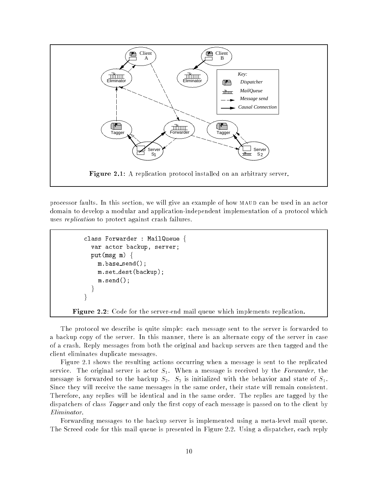

processor faults. In this section, we will give an example of how MAUD can be used in an actor domain to develop a modular and application-independent implementation of a protocol which uses replication to protect against crash failures.

```
class Forwarder : MailQueue f
  var actor backup, server;
 put(msg m) \{m.base send();
    m.set dest(backup);
    m.send();
  \}\}
```
Figure 2.2: Code for the server-end mail queue which implements replication.

The protocol we describe is quite simple: each message sent to the server is forwarded to a backup copy of the server. In this manner, there is an alternate copy of the server in case of a crash. Reply messages from both the original and backup servers are then tagged and the client eliminates duplicate messages.

Figure 2.1 shows the resulting actions occurring when a message is sent to the replicated service. The original server is actor  $S_1$ . When a message is received by the Forwarder, the message is forwarded to the backup  $S_2$ .  $S_2$  is initialized with the behavior and state of  $S_1$ . Since they will receive the same messages in the same order, their state will remain consistent. Therefore, any replies will be identical and in the same order. The replies are tagged by the dispatchers of class *Tagger* and only the first copy of each message is passed on to the client by  $Eliminator$ .

Forwarding messages to the backup server is implemented using a meta-level mail queue. The Screed code for this mail queue is presented in Figure 2.2. Using a dispatcher, each reply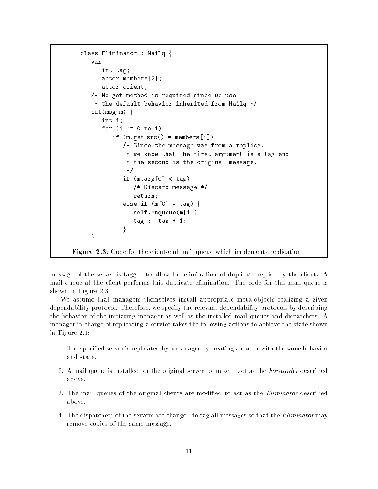```
class Eliminator : Mailq f
  var
      int tag;
      actor members[2];
      actor client;
  /* No get method is required since we use
    * the default behavior inherited from Mailq */
  put(msg m) \{int i;
     for (i := 0 to 1)if (m.get\_src() = members[i])/* Since the message was from a replica,
             * we know that the first argument is a tag and
             * the second is the original message.
             */
            if (m.argv[0] < tag)/* Discard message */
               return;
            else if (m[0] = tag) {
               self.enqueue(m[1]);
               tag + 1;\}\{
```
Figure 2.3: Code for the client-end mail queue which implements replication.

message of the server is tagged to allow the elimination of duplicate replies by the client. A mail queue at the client performs this duplicate elimination. The code for this mail queue is shown in Figure 2.3.

We assume that managers themselves install appropriate meta-objects realizing a given dependability protocol. Therefore, we specify the relevant dependability protocols by describing the behavior of the initiating manager as well as the installed mail queues and dispatchers. A manager in charge of replicating a service takes the following actions to achieve the state shown in Figure 2.1:

- 1. The specied server is replicated by a manager by creating an actor with the same behavior and state.
- 2. A mail queue is installed for the original server to make it act as the *Forwarder* described above.
- 3. The mail queues of the original clients are modified to act as the *Eliminator* described above.
- 4. The dispatchers of the servers are changed to tag all messages so that the Eliminator may remove copies of the same message.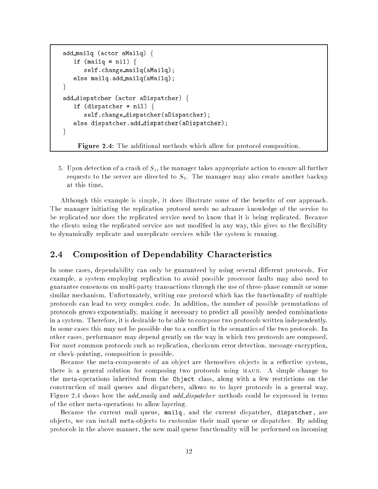```
add mailq (actor aMailq) f
   if (mailq = nil) {
      self.change mailq(aMailq);
   else mailq.add mailq(aMailq);
\}add_dispatcher (actor aDispatcher) {
   if (dispatcher = nil) f
      self.change dispatcher(aDispatcher);
   else dispatcher.add dispatcher(aDispatcher);
\}
```
Figure 2.4: The additional methods which allow for protocol composition.

5. Upon detection of a crash of  $S_1$ , the manager takes appropriate action to ensure all further requests to the server are directed to  $S_2$ . The manager may also create another backup at this time.

Although this example is simple, it does illustrate some of the benefits of our approach. The manager initiating the replication protocol needs no advance knowledge of the service to be replicated nor does the replicated service need to know that it is being replicated. Because the clients using the replicated service are not modified in any way, this gives us the flexibility to dynamically replicate and unreplicate services while the system is running.

## 2.4 Composition of Dependability Characteristics

In some cases, dependability can only be guaranteed by using several different protocols. For example, a system employing replication to avoid possible processor faults may also need to guarantee consensus on multi-party transactions through the use of three-phase commit or some similar mechanism. Unfortunately, writing one protocol which has the functionality of multiple protocols can lead to very complex code. In addition, the number of possible permutations of protocols grows exponentially, making it necessary to predict all possibly needed combinations in a system. Therefore, it is desirable to be able to compose two protocols written independently. In some cases this may not be possible due to a conflict in the semantics of the two protocols. In other cases, performance may depend greatly on the way in which two protocols are composed. For most common protocols such as replication, checksum error detection, message encryption, or check-pointing, composition is possible.

Because the meta-components of an object are themselves objects in a reflective system, there is a general solution for composing two protocols using maud. A simple change to the meta-operations inherited from the Object class, along with a few restrictions on the construction of mail queues and dispatchers, allows us to layer protocols in a general way. Figure 2.4 shows how the *add\_mailq* and *add\_dispatcher* methods could be expressed in terms of the other meta-operations to allow layering.

Because the current mail queue, mailq , and the current dispatcher, dispatcher , are ob jects, we can install meta-ob jects to customize their mail queue or dispatcher. By adding protocols in the above manner, the new mail queue functionality will be performed on incoming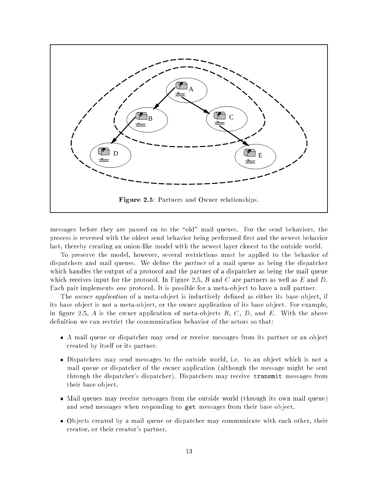

messages before they are passed on to the "old" mail queues. For the send behaviors, the process is reversed with the oldest send behavior being performed first and the newest behavior last, thereby creating an onion-like model with the newest layer closest to the outside world.

To preserve the model, however, several restrictions must be applied to the behavior of dispatchers and mail queues. We define the *partner* of a mail queue as being the dispatcher which handles the output of a protocol and the partner of a dispatcher as being the mail queue which receives input for the protocol. In Figure 2.5, B and C are partners as well as E and D. Each pair implements *one* protocol. It is possible for a meta-object to have a null partner.

The *owner application* of a meta-object is inductively defined as either its base object, if its base ob ject is not a meta-ob ject, or the owner application of its base ob ject. For example, in figure 2.5, A is the owner application of meta-objects  $B, C, D$ , and E. With the above definition we can restrict the communication behavior of the actors so that:

- A mail queue or dispatcher may send or receive messages from its partner or an ob ject created by itself or its partner.
- Dispatchers may send messages to the outside world, i.e. to an ob ject which is not a mail queue or dispatcher of the owner application (although the message might be sent through the dispatcher's dispatcher). Dispatchers may receive transmit messages from their base ob ject.
- Mail queues may receive messages from the outside world (through its own mail queue) and send messages when responding to get messages from their base object.
- Ob jects created by a mail queue or dispatcher may communicate with each other, their creator, or their creator's partner.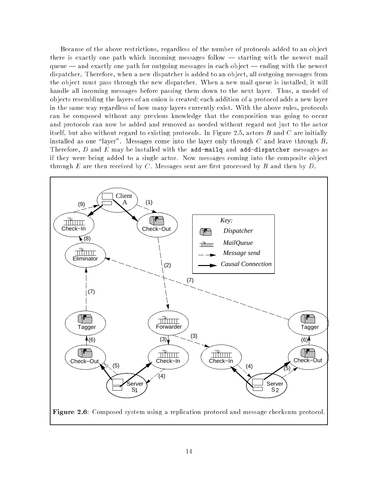Because of the above restrictions, regardless of the number of protocols added to an ob ject there is exactly one path which incoming messages follow — starting with the newest mail queue  $\equiv$  and exactly one path for outgoing messages in each object  $\equiv$  ending with the newest dispatcher. Therefore, when a new dispatcher is added to an object, all outgoing messages from the ob ject must pass through the new dispatcher. When a new mail queue is installed, it will handle all incoming messages before passing them down to the next layer. Thus, a model of ob jects resembling the layers of an onion is created; each addition of a protocol adds a new layer in the same way regardless of how many layers currently exist. With the above rules, protocols can be composed without any previous knowledge that the composition was going to occur and protocols can now be added and removed as needed without regard not just to the actor itself, but also without regard to existing protocols. In Figure 2.5, actors B and C are initially installed as one "layer". Messages come into the layer only through C and leave through B. Therefore, D and E may be installed with the add-mailq and add-dispatcher messages as if they were being added to a single actor. Now messages coming into the composite ob ject through  $E$  are then received by  $C$ . Messages sent are first processed by  $B$  and then by  $D$ .

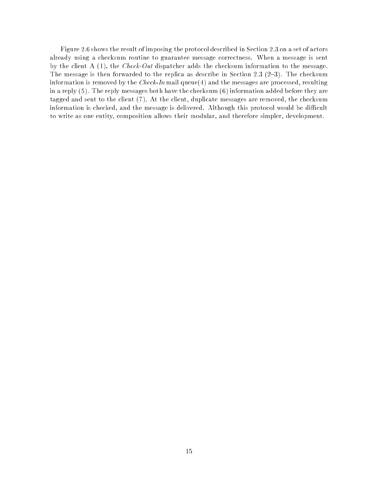Figure 2.6 shows the result of imposing the protocol described in Section 2.3 on a set of actors already using a checksum routine to guarantee message correctness. When a message is sent by the client A  $(1)$ , the *Check-Out* dispatcher adds the checksum information to the message. The message is then forwarded to the replica as describe in Section 2.3 (2-3). The checksum information is removed by the *Check-In* mail queue $(4)$  and the messages are processed, resulting in a reply (5). The reply messages both have the checksum (6) information added before they are tagged and sent to the client (7). At the client, duplicate messages are removed, the checksum information is checked, and the message is delivered. Although this protocol would be difficult to write as one entity, composition allows their modular, and therefore simpler, development.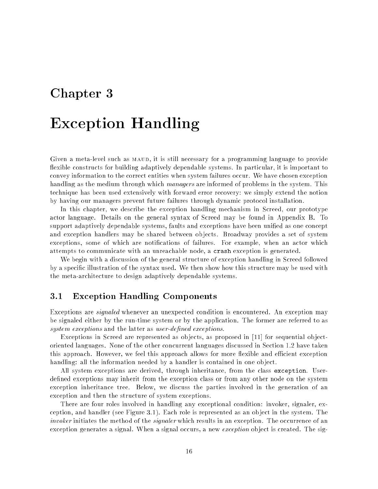# Chapter 3

# Exception Handling

Given a meta-level such as MAUD, it is still necessary for a programming language to provide flexible constructs for building adaptively dependable systems. In particular, it is important to convey information to the correct entities when system failures occur. We have chosen exception handling as the medium through which *managers* are informed of problems in the system. This technique has been used extensively with forward error recovery: we simply extend the notion by having our managers prevent future failures through dynamic protocol installation.

In this chapter, we describe the exception handling mechanism in Screed, our prototype actor language. Details on the general syntax of Screed may be found in Appendix B. To support adaptively dependable systems, faults and exceptions have been unified as one concept and exception handlers may be shared between ob jects. Broadway provides a set of system exceptions, some of which are notifications of failures. For example, when an actor which attempts to communicate with an unreachable node, a crash exception is generated.

We begin with a discussion of the general structure of exception handling in Screed followed by a specic illustration of the syntax used. We then show how this structure may be used with the meta-architecture to design adaptively dependable systems.

## 3.1 Exception Handling Components

Exceptions are *signaled* whenever an unexpected condition is encountered. An exception may be signaled either by the run-time system or by the application. The former are referred to as system exceptions and the latter as user-defined exceptions.

Exceptions in Screed are represented as ob jects, as proposed in [11] for sequential ob jectoriented languages. None of the other concurrent languages discussed in Section 1.2 have taken this approach. However, we feel this approach allows for more flexible and efficient exception handling: all the information needed by a handler is contained in one object.

All system exceptions are derived, through inheritance, from the class exception. Userdefined exceptions may inherit from the exception class or from any other node on the system exception inheritance tree. Below, we discuss the parties involved in the generation of an exception and then the structure of system exceptions.

There are four roles involved in handling any exceptional condition: invoker, signaler, exception, and handler (see Figure 3.1). Each role is represented as an ob ject in the system. The invoker initiates the method of the *signaler* which results in an exception. The occurrence of an exception generates a signal. When a signal occurs, a new *exception* object is created. The sig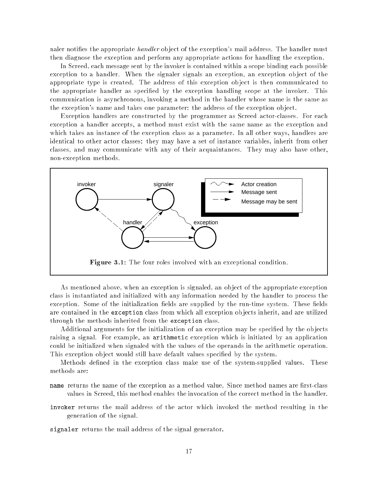naler notifies the appropriate *handler* object of the exception's mail address. The handler must then diagnose the exception and perform any appropriate actions for handling the exception.

In Screed, each message sent by the invoker is contained within a scope binding each possible exception to a handler. When the signaler signals an exception, an exception object of the appropriate type is created. The address of this exception ob ject is then communicated to the appropriate handler as specied by the exception handling scope at the invoker. This communication is asynchronous, invoking a method in the handler whose name is the same as the exception's name and takes one parameter: the address of the exception ob ject.

Exception handlers are constructed by the programmer as Screed actor-classes. For each exception a handler accepts, a method must exist with the same name as the exception and which takes an instance of the exception class as a parameter. In all other ways, handlers are identical to other actor classes: they may have a set of instance variables, inherit from other classes, and may communicate with any of their acquaintances. They may also have other, non-exception methods.



As mentioned above, when an exception is signaled, an ob ject of the appropriate exception class is instantiated and initialized with any information needed by the handler to process the exception. Some of the initialization fields are supplied by the run-time system. These fields are contained in the exception class from which all exception ob jects inherit, and are utilized through the methods inherited from the exception class.

Additional arguments for the initialization of an exception may be specified by the objects raising a signal. For example, an arithmetic exception which is initiated by an application could be initialized when signaled with the values of the operands in the arithmetic operation. This exception object would still have default values specified by the system.

Methods defined in the exception class make use of the system-supplied values. These methods are:

- name returns the name of the exception as a method value. Since method names are first-class values in Screed, this method enables the invocation of the correct method in the handler.
- invoker returns the mail address of the actor which invoked the method resulting in the generation of the signal.

signaler returns the mail address of the signal generator.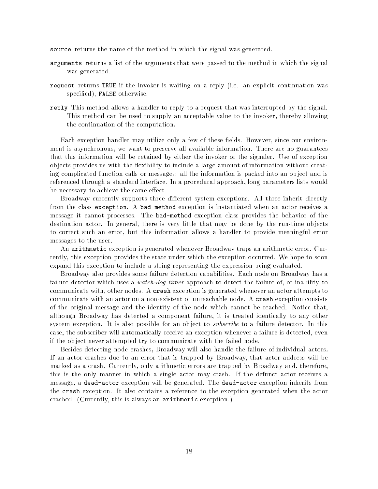source returns the name of the method in which the signal was generated.

- arguments returns a list of the arguments that were passed to the method in which the signal was generated.
- request returns TRUE if the invoker is waiting on a reply (i.e. an explicit continuation was specied), FALSE otherwise.
- reply This method allows a handler to reply to a request that was interrupted by the signal. This method can be used to supply an acceptable value to the invoker, thereby allowing the continuation of the computation.

Each exception handler may utilize only a few of these fields. However, since our environment is asynchronous, we want to preserve all available information. There are no guarantees that this information will be retained by either the invoker or the signaler. Use of exception ob jects provides us with the 
exibility to include a large amount of information without creating complicated function calls or messages: all the information is packed into an ob ject and is referenced through a standard interface. In a procedural approach, long parameters lists would be necessary to achieve the same effect.

Broadway currently supports three different system exceptions. All three inherit directly from the class exception. A bad-method exception is instantiated when an actor receives a message it cannot processes. The bad-method exception class provides the behavior of the destination actor. In general, there is very little that may be done by the run-time objects to correct such an error, but this information allows a handler to provide meaningful error messages to the user.

An arithmetic exception is generated whenever Broadway traps an arithmetic error. Currently, this exception provides the state under which the exception occurred. We hope to soon expand this exception to include a string representing the expression being evaluated.

Broadway also provides some failure detection capabilities. Each node on Broadway has a failure detector which uses a *watch-dog timer* approach to detect the failure of, or inability to communicate with, other nodes. A crash exception is generated whenever an actor attempts to communicate with an actor on a non-existent or unreachable node. A crash exception consists of the original message and the identity of the node which cannot be reached. Notice that, although Broadway has detected a component failure, it is treated identically to any other system exception. It is also possible for an object to *subscribe* to a failure detector. In this case, the subscriber will automatically receive an exception whenever a failure is detected, even if the ob ject never attempted try to communicate with the failed node.

Besides detecting node crashes, Broadway will also handle the failure of individual actors. If an actor crashes due to an error that is trapped by Broadway, that actor address will be marked as a crash. Currently, only arithmetic errors are trapped by Broadway and, therefore, this is the only manner in which a single actor may crash. If the defunct actor receives a message, a dead-actor exception will be generated. The dead-actor exception inherits from the crash exception. It also contains a reference to the exception generated when the actor crashed. (Currently, this is always an arithmetic exception.)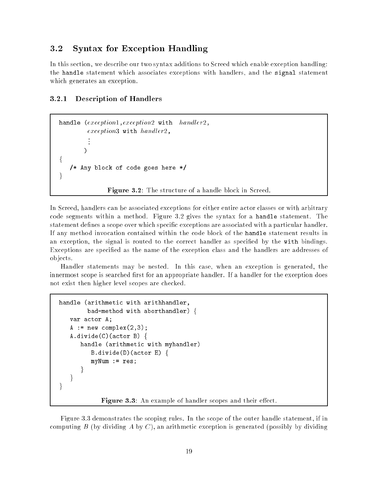## 3.2 Syntax for Exception Handling

In this section, we describe our two syntax additions to Screed which enable exception handling: the handle statement which associates exceptions with handlers, and the signal statement which generates an exception.

### 3.2.1 Description of Handlers

```
handle (exception1, exception2 with handler2,
           exception3 with handler2,
          )
for the contract of the contract of
    /* Any block of code goes here */
g
```
Figure 3.2: The structure of a handle block in Screed.

In Screed, handlers can be associated exceptions for either entire actor classes or with arbitrary code segments within a method. Figure 3.2 gives the syntax for a handle statement. The statement defines a scope over which specific exceptions are associated with a particular handler. If any method invocation contained within the code block of the handle statement results in an exception, the signal is routed to the correct handler as specified by the with bindings. Exceptions are specied as the name of the exception class and the handlers are addresses of ob jects.

Handler statements may be nested. In this case, when an exception is generated, the innermost scope is searched first for an appropriate handler. If a handler for the exception does not exist then higher level scopes are checked.

```
handle (arithmetic with arithhandler,
         bad-method with aborthandler) \{var actor A;
   A := new complex(2,3);A.divide(C)(actor B) f
      handle (arithmetic with myhandler)
         B.divide(D)(actor E) {
          myNum := res;}
   \mathcal{E}ga ka
             Figure 3.3: An example of handler scopes and their effect.
```
Figure 3.3 demonstrates the scoping rules. In the scope of the outer handle statement, if in computing B (by dividing A by C), an arithmetic exception is generated (possibly by dividing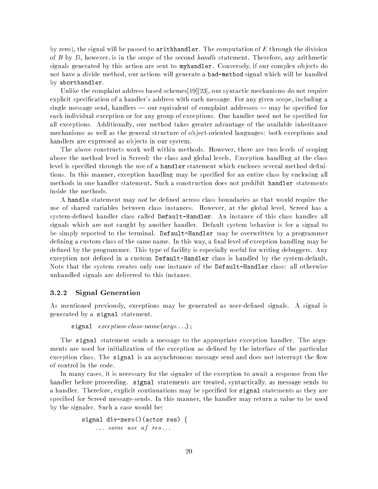by zero), the signal will be passed to arithmandler. The computation of  $E$  through the division of B by D, however, is in the scope of the second handle statement. Therefore, any arithmetic signals generated by this action are sent to myhandler . Conversely, if our complex ob jects do not have a divide method, our actions will generate a bad-method signal which will be handled by aborthandler.

Unlike the complaint address based schemes[19][23], our syntactic mechanisms do not require explicit specification of a handler's address with each message. For any given scope, including a single message send, handlers — our equivalent of complaint addresses — may be specified for each individual exception or for any group of exceptions. One handler need not be specified for all exceptions. Additionally, our method takes greater advantage of the available inheritance mechanisms as well as the general structure of ob ject-oriented languages: both exceptions and handlers are expressed as ob jects in our system.

The above constructs work well within methods. However, there are two levels of scoping above the method level in Screed: the class and global levels. Exception handling at the class level is specified through the use of a handler statement which encloses several method definitions. In this manner, exception handling may be specied for an entire class by enclosing all methods in one handler statement. Such a construction does not prohibit handler statements inside the methods.

A handle statement may not be defined across class boundaries as that would require the use of shared variables between class instances. However, at the global level, Screed has a system-defined handler class called D**efault-Handler**. An instance of this class handles all signals which are not caught by another handler. Default system behavior is for a signal to be simply reported to the terminal. Default-Handler may be overwritten by a programmer defining a custom class of the same name. In this way, a final level of exception handling may be defined by the programmer. This type of facility is especially useful for writing debuggers. Any exception not defined in a custom Default-Handler class is handled by the system-default. Note that the system creates only one instance of the Default-Handler class: all otherwise unhandled signals are delivered to this instance.

#### 3.2.2 Signal Generation

As mentioned previously, exceptions may be generated as user-defined signals. A signal is generated by a signal statement.

```
signal exception-class-name (args...);
```
The signal statement sends a message to the appropriate exception handler. The arguments are used for initialization of the exception as defined by the interface of the particular exception class. The **signal** is an asynchronous message send and does not interrupt the flow of control in the code.

In many cases, it is necessary for the signaler of the exception to await a response from the handler before proceeding. signal statements are treated, syntactically, as message sends to a handler. Therefore, explicit continuations may be specified for signal statements as they are specied for Screed message-sends. In this manner, the handler may return a value to be used by the signaler. Such a case would be:

```
signal div-zero()(actor res) {
    \ldots some use of res...
```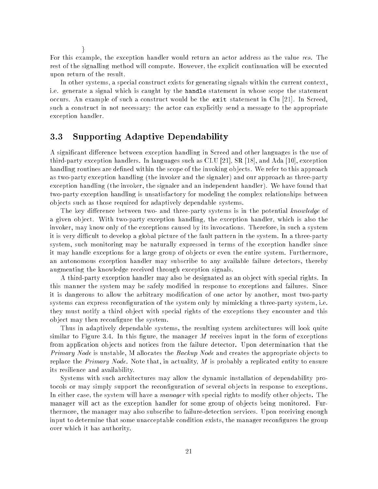g

For this example, the exception handler would return an actor address as the value res. The rest of the signalling method will compute. However, the explicit continuation will be executed upon return of the result.

In other systems, a special construct exists for generating signals within the current context, i.e. generate a signal which is caught by the handle statement in whose scope the statement occurs. An example of such a construct would be the exit statement in Clu [21]. In Screed, such a construct in not necessary: the actor can explicitly send a message to the appropriate exception handler.

#### $3.3$ **Supporting Adaptive Dependability**

A significant difference between exception handling in Screed and other languages is the use of third-party exception handlers. In languages such as CLU [21], SR [18], and Ada [10], exception handling routines are defined within the scope of the invoking objects. We refer to this approach as two-party exception handling (the invoker and the signaler) and our approach as three-party exception handling (the invoker, the signaler and an independent handler). We have found that two-party exception handling is unsatisfactory for modeling the complex relationships between ob jects such as those required for adaptively dependable systems.

The key difference between two- and three-party systems is in the potential knowledge of a given ob ject. With two-party exception handling, the exception handler, which is also the invoker, may know only of the exceptions caused by its invocations. Therefore, in such a system it is very difficult to develop a global picture of the fault pattern in the system. In a three-party system, such monitoring may be naturally expressed in terms of the exception handler since it may handle exceptions for a large group of ob jects or even the entire system. Furthermore, an autonomous exception handler may subscribe to any available failure detectors, thereby augmenting the knowledge received through exception signals.

A third-party exception handler may also be designated as an ob ject with special rights. In this manner the system may be safely modied in response to exceptions and failures. Since it is dangerous to allow the arbitrary modication of one actor by another, most two-party systems can express reconfiguration of the system only by mimicking a three-party system, i.e. they must notify a third ob ject with special rights of the exceptions they encounter and this object may then reconfigure the system.

Thus in adaptively dependable systems, the resulting system architectures will look quite similar to Figure 3.4. In this figure, the manager  $M$  receives input in the form of exceptions from application ob jects and notices from the failure detector. Upon determination that the Primary Node is unstable, M allocates the Backup Node and creates the appropriate objects to replace the *Primary Node*. Note that, in actuality,  $M$  is probably a replicated entity to ensure its resilience and availability.

Systems with such architectures may allow the dynamic installation of dependability protocols or may simply support the reconfiguration of several objects in response to exceptions. In either case, the system will have a *manager* with special rights to modify other objects. The manager will act as the exception handler for some group of ob jects being monitored. Furthermore, the manager may also subscribe to failure-detection services. Upon receiving enough input to determine that some unacceptable condition exists, the manager reconfigures the group over which it has authority.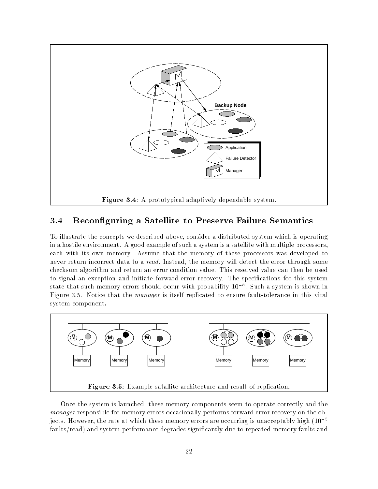

## 3.4 Reconguring a Satellite to Preserve Failure Semantics

To illustrate the concepts we described above, consider a distributed system which is operating in a hostile environment. A good example of such a system is a satellite with multiple processors, each with its own memory. Assume that the memory of these processors was developed to never return incorrect data to a *read*. Instead, the memory will detect the error through some checksum algorithm and return an error condition value. This reserved value can then be used to signal an exception and initiate forward error recovery. The specifications for this system state that such memory errors should occur with probability 108 . Such a system is shown in Figure 3.5. Notice that the *manager* is itself replicated to ensure fault-tolerance in this vital system component.



Once the system is launched, these memory components seem to operate correctly and the manager responsible for memory errors occasionally performs forward error recovery on the objects. However, the rate at which these memory errors are occurring is unacceptably high  $(10^{-5}$ faults/read) and system performance degrades signicantly due to repeated memory faults and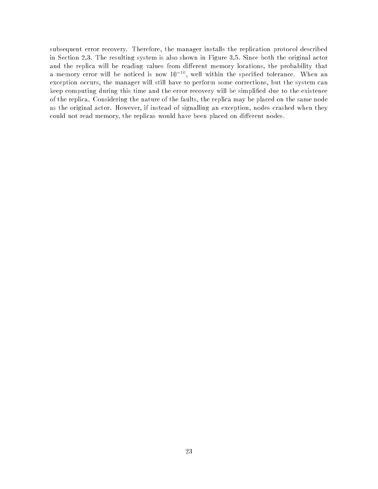subsequent error recovery. Therefore, the manager installs the replication protocol described in Section 2.3. The resulting system is also shown in Figure 3.5. Since both the original actor and the replica will be reading values from different memory locations, the probability that a memory error will be noticed is now 10 ff, well within the specified tolerance. When an exception occurs, the manager will still have to perform some corrections, but the system can keep computing during this time and the error recovery will be simplied due to the existence of the replica. Considering the nature of the faults, the replica may be placed on the same node as the original actor. However, if instead of signalling an exception, nodes crashed when they could not read memory, the replicas would have been placed on different nodes.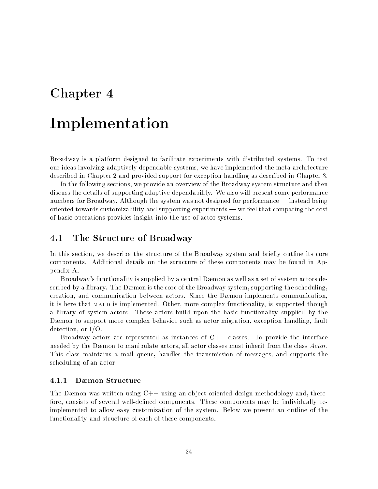## Chapter 4

# Implementation

Broadway is a platform designed to facilitate experiments with distributed systems. To test our ideas involving adaptively dependable systems, we have implemented the meta-architecture described in Chapter 2 and provided support for exception handling as described in Chapter 3.

In the following sections, we provide an overview of the Broadway system structure and then discuss the details of supporting adaptive dependability. We also will present some performance numbers for Broadway. Although the system was not designed for performance — instead being oriented towards customizability and supporting experiments — we feel that comparing the cost of basic operations provides insight into the use of actor systems.

## 4.1 The Structure of Broadway

In this section, we describe the structure of the Broadway system and briefly outline its core components. Additional details on the structure of these components may be found in Appendix A.

Broadway's functionality is supplied by a central Dæmon as well as a set of system actors described by a library. The Dæmon is the core of the Broadway system, supporting the scheduling, creation, and communication between actors. Since the Dæmon implements communication, it is here that maud is implemented. Other, more complex functionality, is supported though a library of system actors. These actors build upon the basic functionality supplied by the Dæmon to support more complex behavior such as actor migration, exception handling, fault detection, or I/O.

Broadway actors are represented as instances of  $C_{++}$  classes. To provide the interface needed by the Dæmon to manipulate actors, all actor classes must inherit from the class Actor. This class maintains a mail queue, handles the transmission of messages, and supports the scheduling of an actor.

### 4.1.1 Dæmon Structure

The Dæmon was written using  $C++$  using an object-oriented design methodology and, therefore, consists of several well-defined components. These components may be individually reimplemented to allow easy customization of the system. Below we present an outline of the functionality and structure of each of these components.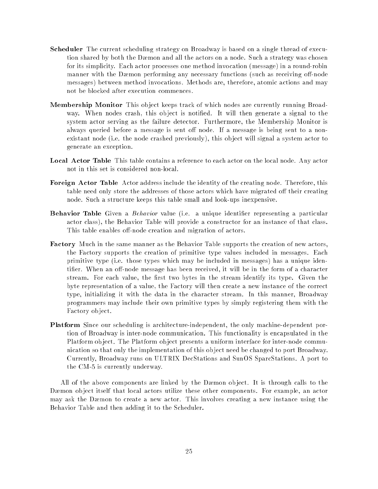- Scheduler The current scheduling strategy on Broadway is based on a single thread of execution shared by both the Dæmon and all the actors on a node. Such a strategy was chosen for its simplicity. Each actor processes one method invocation (message) in a round-robin manner with the Dæmon performing any necessary functions (such as receiving off-node messages) between method invocations. Methods are, therefore, atomic actions and may not be blocked after execution commences.
- Membership Monitor This object keeps track of which nodes are currently running Broadway. When nodes crash, this object is notified. It will then generate a signal to the system actor serving as the failure detector. Furthermore, the Membership Monitor is always queried before a message is sent off node. If a message is being sent to a nonexistant node (i.e. the node crashed previously), this ob ject will signal a system actor to generate an exception.
- Local Actor Table This table contains a reference to each actor on the local node. Any actor not in this set is considered non-local.
- Foreign Actor Table Actor address include the identity of the creating node. Therefore, this table need only store the addresses of those actors which have migrated off their creating node. Such a structure keeps this table small and look-ups inexpensive.
- Behavior Table Given a *Behavior* value (i.e. a unique identifier representing a particular actor class), the Behavior Table will provide a constructor for an instance of that class. This table enables off-node creation and migration of actors.
- **Factory** Much in the same manner as the Behavior Table supports the creation of new actors. the Factory supports the creation of primitive type values included in messages. Each primitive type (i.e. those types which may be included in messages) has a unique identifier. When an off-node message has been received, it will be in the form of a character stream. For each value, the first two bytes in the stream identify its type. Given the byte representation of a value, the Factory will then create a new instance of the correct type, initializing it with the data in the character stream. In this manner, Broadway programmers may include their own primitive types by simply registering them with the Factory ob ject.
- Platform Since our scheduling is architecture-independent, the only machine-dependent portion of Broadway is inter-node communication. This functionality is encapsulated in the Platform object. The Platform object presents a uniform interface for inter-node communication so that only the implementation of this ob ject need be changed to port Broadway. Currently, Broadway runs on ULTRIX DecStations and SunOS SparcStations. A port to the CM-5 is currently underway.

All of the above components are linked by the Dæmon object. It is through calls to the Dæmon object itself that local actors utilize these other components. For example, an actor may ask the Dæmon to create a new actor. This involves creating a new instance using the Behavior Table and then adding it to the Scheduler.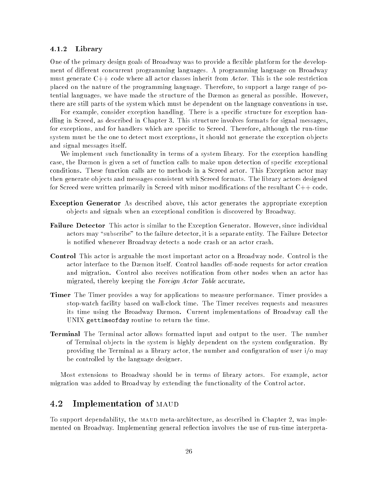### 4.1.2 Library

One of the primary design goals of Broadway was to provide a flexible platform for the development of different concurrent programming languages. A programming language on Broadway must generate  $C++$  code where all actor classes inherit from Actor. This is the sole restriction placed on the nature of the programming language. Therefore, to support a large range of potential languages, we have made the structure of the Dæmon as general as possible. However, there are still parts of the system which must be dependent on the language conventions in use.

For example, consider exception handling. There is a specific structure for exception handling in Screed, as described in Chapter 3. This structure involves formats for signal messages, for exceptions, and for handlers which are specific to Screed. Therefore, although the run-time system must be the one to detect most exceptions, it should not generate the exception ob jects and signal messages itself.

We implement such functionality in terms of a system library. For the exception handling case, the Dæmon is given a set of function calls to make upon detection of specific exceptional conditions. These function calls are to methods in a Screed actor. This Exception actor may then generate ob jects and messages consistent with Screed formats. The library actors designed for Screed were written primarily in Screed with minor modifications of the resultant  $C++$  code.

- Exception Generator As described above, this actor generates the appropriate exception ob jects and signals when an exceptional condition is discovered by Broadway.
- Failure Detector This actor is similar to the Exception Generator. However, since individual actors may "subscribe" to the failure detector, it is a separate entity. The Failure Detector is notied whenever Broadway detects a node crash or an actor crash.
- Control This actor is arguable the most important actor on a Broadway node. Control is the actor interface to the Dæmon itself. Control handles off-node requests for actor creation and migration. Control also receives notification from other nodes when an actor has migrated, thereby keeping the Foreign Actor Table accurate.
- Timer The Timer provides a way for applications to measure performance. Timer provides a stop-watch facility based on wall-clock time. The Timer receives requests and measures its time using the Broadway Dæmon. Current implementations of Broadway call the UNIX gettimeofday routine to return the time.
- Terminal The Terminal actor allows formatted input and output to the user. The number of Terminal objects in the system is highly dependent on the system configuration. By providing the Terminal as a library actor, the number and configuration of user  $i/\sigma$  may be controlled by the language designer.

Most extensions to Broadway should be in terms of library actors. For example, actor migration was added to Broadway by extending the functionality of the Control actor.

## 4.2 Implementation of MAUD

To support dependability, the MAUD meta-architecture, as described in Chapter 2, was implemented on Broadway. Implementing general reflection involves the use of run-time interpreta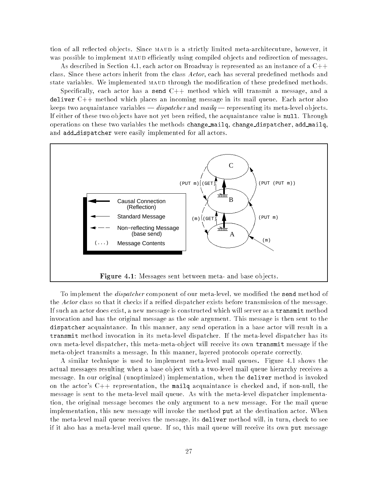tion of all reflected objects. Since MAUD is a strictly limited meta-architecuture, however, it was possible to implement MAUD efficiently using compiled objects and redirection of messages.

As described in Section 4.1, each actor on Broadway is represented as an instance of a  $C++$ class. Since these actors inherit from the class Actor, each has several predefined methods and state variables. We implemented <code>MAUD</code> through the modification of these predefined methods.

Specifically, each actor has a send  $C++$  method which will transmit a message, and a deliver C++ method which places an incoming message in its mail queue. Each actor also keeps two acquaintance variables  $-$  dispatcher and mailq  $-$  representing its meta-level objects. If either of these two objects have not yet been reified, the acquaintance value is null. Through operations on these two variables the methods change mailq, change dispatcher, add mailq, and add dispatcher were easily implemented for all actors.



To implement the *dispatcher* component of our meta-level, we modified the **send** method of the Actor class so that it checks if a reified dispatcher exists before transmission of the message. If such an actor does exist, a new message is constructed which will server as a transmit method invocation and has the original message as the sole argument. This message is then sent to the dispatcher acquaintance. In this manner, any send operation in a base actor will result in a transmit method invocation in its meta-level dispatcher. If the meta-level dispatcher has its own meta-level dispatcher, this meta-meta-ob ject will receive its own transmit message if the meta-ob ject transmits a message. In this manner, layered protocols operate correctly.

A similar technique is used to implement meta-level mail queues. Figure 4.1 shows the actual messages resulting when a base ob ject with a two-level mail queue hierarchy receives a message. In our original (unoptimized) implementation, when the deliver method is invoked on the actor's  $C_{++}$  representation, the mailq acquaintance is checked and, if non-null, the message is sent to the meta-level mail queue. As with the meta-level dispatcher implementation, the original message becomes the only argument to a new message. For the mail queue implementation, this new message will invoke the method put at the destination actor. When the meta-level mail queue receives the message, its deliver method will, in turn, check to see if it also has a meta-level mail queue. If so, this mail queue will receive its own put message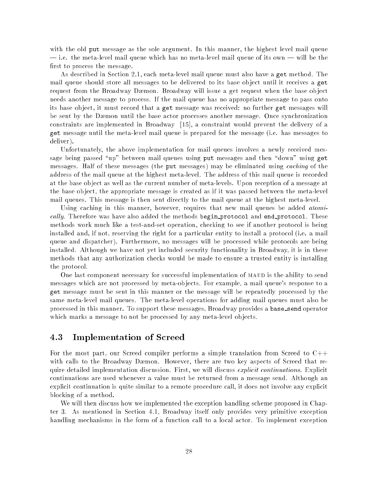with the old put message as the sole argument. In this manner, the highest level mail queue  $-$  i.e. the meta-level mail queue which has no meta-level mail queue of its own  $-$  will be the first to process the message.

As described in Section 2.1, each meta-level mail queue must also have a get method. The mail queue should store all messages to be delivered to its base ob ject until it receives a get request from the Broadway Dæmon. Broadway will issue a get request when the base object needs another message to process. If the mail queue has no appropriate message to pass onto its base ob ject, it must record that a get message was received: no further get messages will be sent by the Dæmon until the base actor processes another message. Once synchronization constraints are implemented in Broadway [15], a constraint would prevent the delivery of a get message until the meta-level mail queue is prepared for the message (i.e. has messages to deliver).

Unfortunately, the above implementation for mail queues involves a newly received message being passed "up" between mail queues using put messages and then "down" using get messages. Half of these messages (the put messages) may be eliminated using caching of the address of the mail queue at the highest meta-level. The address of this mail queue is recorded at the base ob ject as well as the current number of meta-levels. Upon reception of a message at the base ob ject, the appropriate message is created as if it was passed between the meta-level mail queues. This message is then sent directly to the mail queue at the highest meta-level.

Using caching in this manner, however, requires that new mail queues be added *atomi*cally. Therefore was have also added the methods begin protocol and end protocol. These methods work much like a test-and-set operation, checking to see if another protocol is being installed and, if not, reserving the right for a particular entity to install a protocol (i.e. a mail queue and dispatcher). Furthermore, no messages will be processed while protocols are being installed. Although we have not yet included security functionality in Broadway, it is in these methods that any authorization checks would be made to ensure a trusted entity is installing the protocol.

One last component necessary for successful implementation of MAUD is the ability to send messages which are not processed by meta-ob jects. For example, a mail queue's response to a get message must be sent in this manner or the message will be repeatedly processed by the same meta-level mail queues. The meta-level operations for adding mail queues must also be processed in this manner. To support these messages, Broadway provides a base\_send operator which marks a message to not be processed by any meta-level ob jects.

## 4.3 Implementation of Screed

For the most part, our Screed compiler performs a simple translation from Screed to  $C++$ with calls to the Broadway Dæmon. However, there are two key aspects of Screed that require detailed implementation discussion. First, we will discuss *explicit continuations*. Explicit continuations are used whenever a value must be returned from a message send. Although an explicit continuation is quite similar to a remote procedure call, it does not involve any explicit blocking of a method.

We will then discuss how we implemented the exception handling scheme proposed in Chapter 3. As mentioned in Section 4.1, Broadway itself only provides very primitive exception handling mechanisms in the form of a function call to a local actor. To implement exception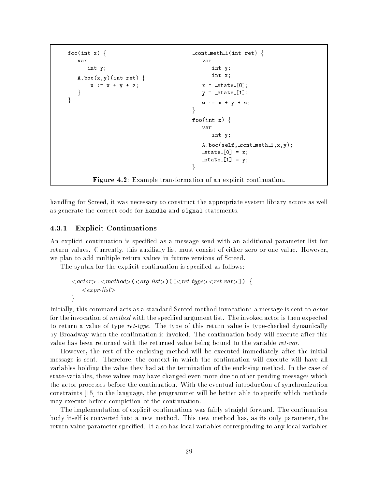```
foo(int x) {
                                                             _{\text{cont\_meth\_1(int ret}) {
    var
                                                                  var
                                                                       int y;
         int y;
                                                                       int x;
    A.boo(x,y)(int ret) {
          w := x + y + z;x = _state [0];
    \}y = _state [1];
\mathcal{E}w := x + y + z;\left\{ \right\}foo(int x) {
                                                                  var
                                                                       int y;
                                                                  A.boo(self, cont_meth_1, x, y);
                                                                  \:state[0] = x;\:state[1] = y;þ
                                                              graduate de la provincia de la concentración de la concentración de la concentración de la concentración de la
            Figure 4.2: Example transformation of an explicit continuation.
```
handling for Screed, it was necessary to construct the appropriate system library actors as well as generate the correct code for handle and signal statements.

### 4.3.1 Explicit Continuations

An explicit continuation is specied as a message send with an additional parameter list for return values. Currently, this auxiliary list must consist of either zero or one value. However, we plan to add multiple return values in future versions of Screed.

The syntax for the explicit continuation is specied as follows:

```
\langle \textit{actor} \rangle. \langle \textit{method} \rangle(\langle \textit{arg-list} \rangle)(\langle \textit{cret-type} \rangle \langle \textit{ret-var} \rangle) {
         \langle expr\text{-}list \rangle}
```
Initially, this command acts as a standard Screed method invocation: a message is sent to actor for the invocation of *method* with the specified argument list. The invoked actor is then expected to return a value of type ret-type. The type of this return value is type-checked dynamically by Broadway when the continuation is invoked. The continuation body will execute after this value has been returned with the returned value being bound to the variable ret-var.

However, the rest of the enclosing method will be executed immediately after the initial message is sent. Therefore, the context in which the continuation will execute will have all variables holding the value they had at the termination of the enclosing method. In the case of state-variables, these values may have changed even more due to other pending messages which the actor processes before the continuation. With the eventual introduction of synchronization constraints [15] to the language, the programmer will be better able to specify which methods may execute before completion of the continuation.

The implementation of explicit continuations was fairly straight forward. The continuation body itself is converted into a new method. This new method has, as its only parameter, the return value parameter specied. It also has local variables corresponding to any local variables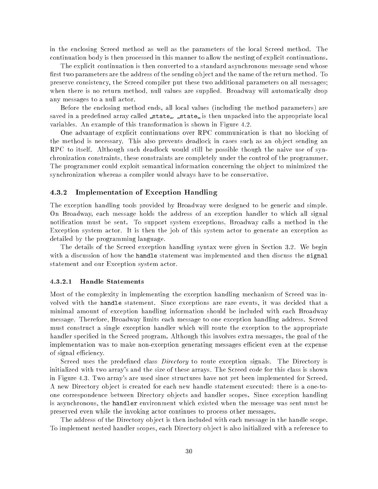in the enclosing Screed method as well as the parameters of the local Screed method. The continuation body is then processed in this manner to allow the nesting of explicit continuations.

The explicit continuation is then converted to a standard asynchronous message send whose first two parameters are the address of the sending object and the name of the return method. To preserve consistency, the Screed compiler put these two additional parameters on all messages; when there is no return method, null values are supplied. Broadway will automatically drop any messages to a null actor.

Before the enclosing method ends, all local values (including the method parameters) are saved in a predefined array called **\_state\_** state\_ is then unpacked into the appropriate local variables. An example of this transformation is shown in Figure 4.2.

One advantage of explicit continuations over RPC communication is that no blocking of the method is necessary. This also prevents deadlock in cases such as an ob ject sending an RPC to itself. Although such deadlock would still be possible though the naive use of synchronization constraints, these constraints are completely under the control of the programmer. The programmer could exploit semantical information concerning the ob ject to minimized the synchronization whereas a compiler would always have to be conservative.

#### 4.3.2 Implementation of Exception Handling

The exception handling tools provided by Broadway were designed to be generic and simple. On Broadway, each message holds the address of an exception handler to which all signal notification must be sent. To support system exceptions, Broadway calls a method in the Exception system actor. It is then the job of this system actor to generate an exception as detailed by the programming language.

The details of the Screed exception handling syntax were given in Section 3.2. We begin with a discussion of how the handle statement was implemented and then discuss the signal statement and our Exception system actor.

#### 4.3.2.1 Handle Statements

Most of the complexity in implementing the exception handling mechanism of Screed was involved with the handle statement. Since exceptions are rare events, it was decided that a minimal amount of exception handling information should be included with each Broadway message. Therefore, Broadway limits each message to one exception handling address. Screed must construct a single exception handler which will route the exception to the appropriate handler specified in the Screed program. Although this involves extra messages, the goal of the implementation was to make non-exception generating messages efficient even at the expense of signal efficiency.

Screed uses the predefined class *Directory* to route exception signals. The Directory is initialized with two array's and the size of these arrays. The Screed code for this class is shown in Figure 4.3. Two array's are used since structures have not yet been implemented for Screed. A new Directory ob ject is created for each new handle statement executed: there is a one-toone correspondence between Directory ob jects and handler scopes. Since exception handling is asynchronous, the handler environment which existed when the message was sent must be preserved even while the invoking actor continues to process other messages.

The address of the Directory ob ject is then included with each message in the handle scope. To implement nested handler scopes, each Directory ob ject is also initialized with a reference to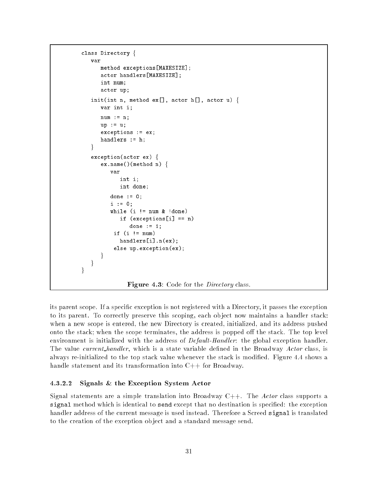```
class Directory f
   var
      method exceptions[MAXESIZE];
      actor handlers[MAXESIZE];
      int num;
      actor up;
   init(int n, method ex[], actor h[], actor u) {
      var int i;
      num := n;
      up := u;
      exceptions := ex;
      handlers := h;
   gexception(actor ex) {
      ex.name()(method n) \{var
            int i;
            int done;
         done := 0;
         i := 0;while (i := num & ldone)if (exceptions[i] == n)
                done := 1;
          if (i != num)handlers[i].n(ex);
          else up.exception(ex);
      \}\}\mathcal{E}Figure 4.3: Code for the Directory class.
```
its parent scope. If a specific exception is not registered with a Directory, it passes the exception to its parent. To correctly preserve this scoping, each object now maintains a handler stack: when a new scope is entered, the new Directory is created, initialized, and its address pushed onto the stack; when the scope terminates, the address is popped off the stack. The top level environment is initialized with the address of *Default-Handler*: the global exception handler. The value *current\_handler*, which is a state variable defined in the Broadway Actor class, is always re-initialized to the top stack value whenever the stack is modied. Figure 4.4 shows a handle statement and its transformation into C++ for Broadway.

### 4.3.2.2 Signals & the Exception System Actor

Signal statements are a simple translation into Broadway  $C++$ . The Actor class supports a signal method which is identical to send except that no destination is specified: the exception handler address of the current message is used instead. Therefore a Screed signal is translated to the creation of the exception ob ject and a standard message send.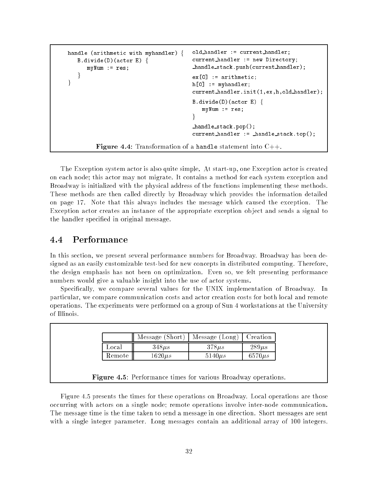```
handle (arithmetic with myhandler) {
   B.divide(D)(actor E) {
      myNum := res;
   <sup>}</sup>
gold handler := current handler;
                                          current handler := new Directory;
                                          handle stack.push(current handler);
                                         ex[0] := arithmetic;
                                         h[0] := myhandler;
                                         current handler.init(1,ex,h,old handler);
                                         B.divide(D)(actor E) {
                                             myNum := res;
                                          \mathcal{E}handle stack.pop();
                                          current handler := handle stack.top();
         Figure 4.4: Transformation of a handle statement into C++.
```
The Exception system actor is also quite simple. At start-up, one Exception actor is created on each node; this actor may not migrate. It contains a method for each system exception and Broadway is initialized with the physical address of the functions implementing these methods. These methods are then called directly by Broadway which provides the information detailed on page 17. Note that this always includes the message which caused the exception. The Exception actor creates an instance of the appropriate exception ob ject and sends a signal to the handler specied in original message.

#### 4.4 4.4 Performance

In this section, we present several performance numbers for Broadway. Broadway has been designed as an easily customizable test-bed for new concepts in distributed computing. Therefore, the design emphasis has not been on optimization. Even so, we felt presenting performance numbers would give a valuable insight into the use of actor systems.

Specically, we compare several values for the UNIX implementation of Broadway. In particular, we compare communication costs and actor creation costs for both local and remote operations. The experiments were performed on a group of Sun 4 workstations at the University of Illinois.

| Local  | $348 \mu s$ | $378\mu s$   | $289\mu s$   |
|--------|-------------|--------------|--------------|
| Remote | $1620\mu s$ | $5140 \mu s$ | $6570 \mu s$ |

Figure 4.5 presents the times for these operations on Broadway. Local operations are those occurring with actors on a single node; remote operations involve inter-node communication. The message time is the time taken to send a message in one direction. Short messages are sent with a single integer parameter. Long messages contain an additional array of 100 integers.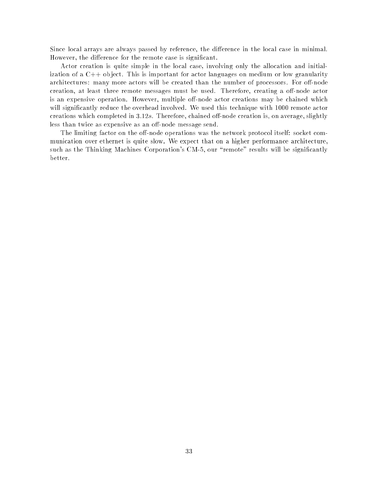Since local arrays are always passed by reference, the difference in the local case in minimal. However, the difference for the remote case is significant.

Actor creation is quite simple in the local case, involving only the allocation and initialization of a  $C++$  object. This is important for actor languages on medium or low granularity architectures: many more actors will be created than the number of processors. For off-node creation, at least three remote messages must be used. Therefore, creating a off-node actor is an expensive operation. However, multiple off-node actor creations may be chained which will signicantly reduce the overhead involved. We used this technique with 1000 remote actor creations which completed in  $3.12s$ . Therefore, chained off-node creation is, on average, slightly less than twice as expensive as an off-node message send.

The limiting factor on the off-node operations was the network protocol itself: socket communication over ethernet is quite slow. We expect that on a higher performance architecture, such as the Thinking Machines Corporation's CM-5, our "remote" results will be significantly better.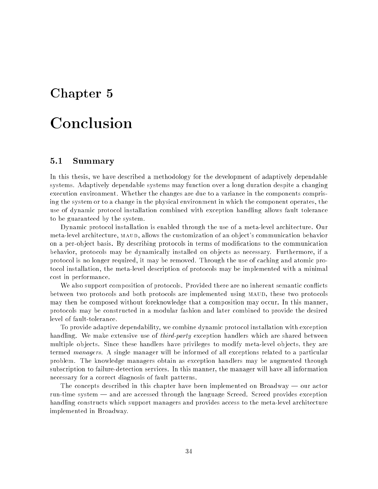## Chapter 5

# Conclusion

## 5.1 Summary

In this thesis, we have described a methodology for the development of adaptively dependable systems. Adaptively dependable systems may function over a long duration despite a changing execution environment. Whether the changes are due to a variance in the components comprising the system or to a change in the physical environment in which the component operates, the use of dynamic protocol installation combined with exception handling allows fault tolerance to be guaranteed by the system.

Dynamic protocol installation is enabled through the use of a meta-level architecture. Our meta-level architecture, maud, allows the customization of an ob ject's communication behavior on a per-ob ject basis. By describing protocols in terms of modications to the communication behavior, protocols may be dynamically installed on ob jects as necessary. Furthermore, if a protocol is no longer required, it may be removed. Through the use of caching and atomic protocol installation, the meta-level description of protocols may be implemented with a minimal cost in performance.

We also support composition of protocols. Provided there are no inherent semantic conflicts between two protocols and both protocols are implemented using maud, these two protocols may then be composed without foreknowledge that a composition may occur. In this manner, protocols may be constructed in a modular fashion and later combined to provide the desired level of fault-tolerance.

To provide adaptive dependability, we combine dynamic protocol installation with exception handling. We make extensive use of *third-party* exception handlers which are shared between multiple objects. Since these handlers have privileges to modify meta-level objects, they are termed managers. A single manager will be informed of all exceptions related to a particular problem. The knowledge managers obtain as exception handlers may be augmented through subscription to failure-detection services. In this manner, the manager will have all information necessary for a correct diagnosis of fault patterns.

The concepts described in this chapter have been implemented on Broadway  $\sim$  our actor run-time system — and are accessed through the language Screed. Screed provides exception handling constructs which support managers and provides access to the meta-level architecture implemented in Broadway.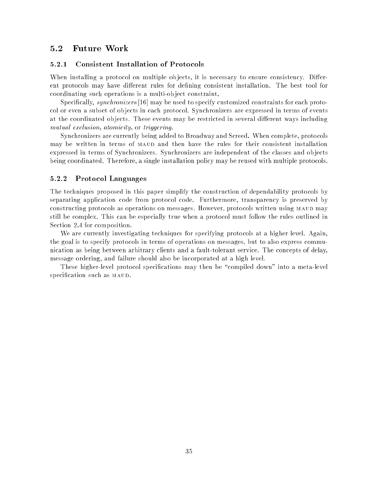## 5.2 Future Work

### 5.2.1 Consistent Installation of Protocols

When installing a protocol on multiple objects, it is necessary to ensure consistency. Different protocols may have different rules for defining consistent installation. The best tool for coordinating such operations is a multi-ob ject constraint.

Specifically, *synchronizers* [16] may be used to specify customized constraints for each protocol or even a subset of ob jects in each protocol. Synchronizers are expressed in terms of events at the coordinated objects. These events may be restricted in several different ways including mutual exclusion, atomicity, or triggering.

Synchronizers are currently being added to Broadway and Screed. When complete, protocols may be written in terms of MAUD and then have the rules for their consistent installation expressed in terms of Synchronizers. Synchronizers are independent of the classes and ob jects being coordinated. Therefore, a single installation policy may be reused with multiple protocols.

### 5.2.2 Protocol Languages

The techniques proposed in this paper simplify the construction of dependability protocols by separating application code from protocol code. Furthermore, transparency is preserved by constructing protocols as operations on messages. However, protocols written using MAUD may still be complex. This can be especially true when a protocol must follow the rules outlined in Section 2.4 for composition.

We are currently investigating techniques for specifying protocols at a higher level. Again, the goal is to specify protocols in terms of operations on messages, but to also express communication as being between arbitrary clients and a fault-tolerant service. The concepts of delay, message ordering, and failure should also be incorporated at a high level.

These higher-level protocol specifications may then be "compiled down" into a meta-level specication such as maud.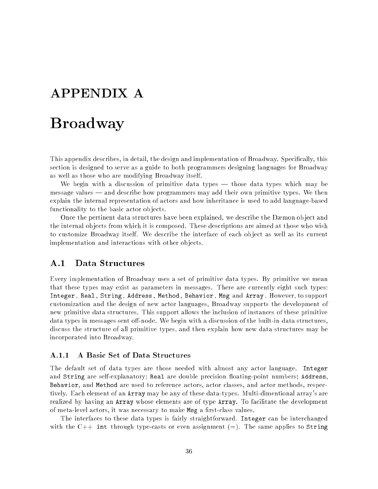# APPENDIX A

# Broadway

This appendix describes, in detail, the design and implementation of Broadway. Specically, this section is designed to serve as a guide to both programmers designing languages for Broadway as well as those who are modifying Broadway itself.

We begin with a discussion of primitive data types  $-$  those data types which may be message values  $-$  and describe how programmers may add their own primitive types. We then explain the internal representation of actors and how inheritance is used to add language-based functionality to the basic actor ob jects.

Once the pertinent data structures have been explained, we describe the Dæmon object and the internal ob jects from which it is composed. These descriptions are aimed at those who wish to customize Broadway itself. We describe the interface of each ob ject as well as its current implementation and interactions with other ob jects.

#### Data Structures  $\rm A.1$

Every implementation of Broadway uses a set of primitive data types. By primitive we mean that these types may exist as parameters in messages. There are currently eight such types: Integer , Real , String , Address , Method , Behavior , Msg and Array . However, to support customization and the design of new actor languages, Broadway supports the development of new primitive data structures. This support allows the inclusion of instances of these primitive data types in messages sent off-node. We begin with a discussion of the built-in data structures, discuss the structure of all primitive types, and then explain how new data structures may be incorporated into Broadway.

#### A Basic Set of Data Structures  $\rm A.1.1$

The default set of data types are those needed with almost any actor language. Integer and String are self-explanatory; Real are double precision floating-point numbers; Address, Behavior, and Method are used to reference actors, actor classes, and actor methods, respectively. Each element of an Array may be any of these data-types. Multi-dimentional array's are realized by having an Array whose elements are of type Array. To facilitate the development of meta-level actors, it was necessary to make Msg a first-class values.

The interfaces to these data types is fairly straightforward. Integer can be interchanged with the  $C++$  int through type-casts or even assignment (=). The same applies to String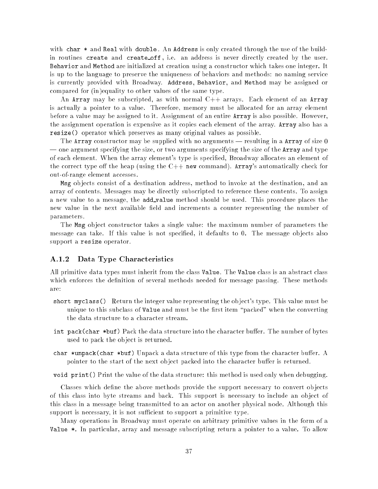with char \* and Real with double. An Address is only created through the use of the buildin routines create and create off , i.e. an address is never directly created by the user. Behavior and Method are initialized at creation using a constructor which takes one integer. It is up to the language to preserve the uniqueness of behaviors and methods: no naming service is currently provided with Broadway. Address, Behavior, and Method may be assigned or compared for (in)equality to other values of the same type.

An Array may be subscripted, as with normal C++ arrays. Each element of an Array is actually a pointer to a value. Therefore, memory must be allocated for an array element before a value may be assigned to it. Assignment of an entire Array is also possible. However, the assignment operation is expensive as it copies each element of the array. Array also has a resize() operator which preserves as many original values as possible.

The Array constructor may be supplied with no arguments — resulting in a Array of size 0  $\sim$  one argument specifying the size, or two arguments specifying the size of the Array and type of each element. When the array element's type is specied, Broadway allocates an element of the correct type off the heap (using the  $C++$  new command). Array's automatically check for out-of-range element accesses.

Msg ob jects consist of a destination address, method to invoke at the destination, and an array of contents. Messages may be directly subscripted to reference these contents. To assign a new value to a message, the add\_value method should be used. This procedure places the new value in the next available field and increments a counter representing the number of parameters.

The Msg ob ject constructor takes a single value: the maximum number of parameters the message can take. If this value is not specified, it defaults to 0. The message objects also support a resize operator.

#### $A.1.2$ Data Type Characteristics

All primitive data types must inherit from the class Value. The Value class is an abstract class which enforces the definition of several methods needed for message passing. These methods are:

- short myclass() Return the integer value representing the ob ject's type. This value must be unique to this subclass of Value and must be the first item "packed" when the converting the data structure to a character stream.
- int pack(char  $*$ buf) Pack the data structure into the character buffer. The number of bytes used to pack the ob ject is returned.
- char  $*$ unpack(char  $*$ buf) Unpack a data structure of this type from the character buffer. A pointer to the start of the next object packed into the character buffer is returned.

void print() Print the value of the data structure: this method is used only when debugging.

Classes which define the above methods provide the support necessary to convert objects of this class into byte streams and back. This support is necessary to include an ob ject of this class in a message being transmitted to an actor on another physical node. Although this support is necessary, it is not sufficient to support a primitive type.

Many operations in Broadway must operate on arbitrary primitive values in the form of a Value \*. In particular, array and message subscripting return a pointer to a value. To allow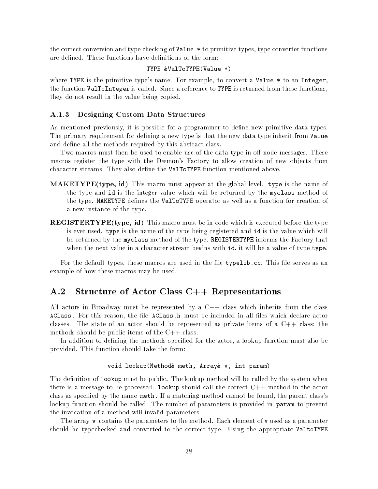the correct conversion and type checking of Value \* to primitive types, type converter functions are defined. These functions have definitions of the form:

#### TYPE &ValToTYPE(Value \*)

where TYPE is the primitive type's name. For example, to convert a Value  $*$  to an Integer. the function ValToInteger is called. Since a reference to TYPE is returned from these functions, they do not result in the value being copied.

### A.1.3 Designing Custom Data Structures

As mentioned previously, it is possible for a programmer to define new primitive data types. The primary requirement for defining a new type is that the new data type inherit from Value and define all the methods required by this abstract class.

Two macros must then be used to enable use of the data type in off-node messages. These macros register the type with the Dæmon's Factory to allow creation of new objects from character streams. They also define the ValToTYPE function mentioned above.

- MAKETYPE(type, id) This macro must appear at the global level. type is the name of the type and id is the integer value which will be returned by the myclass method of the type. MAKETYPE defines the ValToTYPE operator as well as a function for creation of a new instance of the type.
- **REGISTERTYPE(type, id)** This macro must be in code which is executed before the type is ever used. type is the name of the type being registered and id is the value which will be returned by the myclass method of the type. REGISTERTYPE informs the Factory that when the next value in a character stream begins with id, it will be a value of type type.

For the default types, these macros are used in the file typelib.cc. This file serves as an example of how these macros may be used.

## A.2 Structure of Actor Class C++ Representations

All actors in Broadway must be represented by a  $C++$  class which inherits from the class AClass. For this reason, the file AClass.h must be included in all files which declare actor classes. The state of an actor should be represented as private items of a C++ class; the methods should be public items of the C++ class.

In addition to defining the methods specified for the actor, a lookup function must also be provided. This function should take the form:

#### void lookup(Method& meth, Array& v, int param)

The definition of lookup must be public. The lookup method will be called by the system when there is a message to be processed. Lookup should call the correct  $C++$  method in the actor class as specified by the name meth. If a matching method cannot be found, the parent class's lookup function should be called. The number of parameters is provided in param to prevent the invocation of a method will invalid parameters.

The array  $\bf{v}$  contains the parameters to the method. Each element of  $\bf{v}$  used as a parameter should be typechecked and converted to the correct type. Using the appropriate ValtoTYPE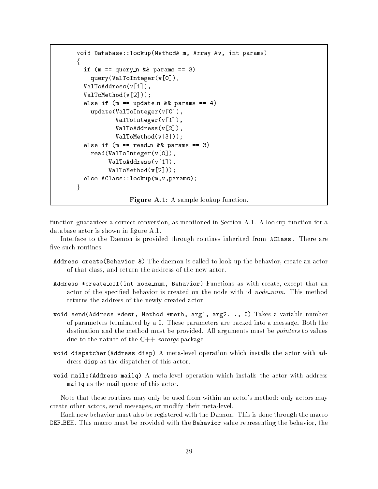```
void Database::lookup(Method& m, Array &v, int params)
for the contract of the contract of the contract of the contract of the contract of the contract of the contract of the contract of the contract of the contract of the contract of the contract of the contract of the contra
   if (m == query_n & k = p)query(ValToInteger(v[0]),
   ValToAddress(v[1]),
   ValToMethod(v[2]));
   else if (m == update_n &amp;" a\n  <math>= 4</math>)update(ValToInteger(v[0]),
                ValToInteger(v[1]),
                ValToAddress(v[2]),
                ValToMethod(v[3]));
   else if (m == read_n & k) params == 3)read(ValToInteger(v[0]),
             ValToAddress(v[1]),
              ValToMethod(v[2]));
   else AClass::lookup(m,v,params);
g
                       Figure A.1: A sample lookup function.
```
function guarantees a correct conversion, as mentioned in Section A.1. A lookup function for a database actor is shown in figure A.1.

Interface to the Dæmon is provided through routines inherited from AClass. There are five such routines.

- Address create(Behavior &) The daemon is called to look up the behavior, create an actor of that class, and return the address of the new actor.
- Address \*create off(int node num, Behavior) Functions as with create, except that an actor of the specified behavior is created on the node with id  $node\_num$ . This method returns the address of the newly created actor.
- void send(Address \*dest, Method \*meth, arg1, arg2..., 0) Takes a variable number of parameters terminated by a 0. These parameters are packed into a message. Both the destination and the method must be provided. All arguments must be *pointers* to values due to the nature of the  $C++\$
- void dispatcher(Address disp) A meta-level operation which installs the actor with address disp as the dispatcher of this actor.
- void mailq(Address mailq) A meta-level operation which installs the actor with address mailq as the mail queue of this actor.

Note that these routines may only be used from within an actor's method: only actors may create other actors, send messages, or modify their meta-level.

Each new behavior must also be registered with the Dæmon. This is done through the macro DEF BEH . This macro must be provided with the Behavior value representing the behavior, the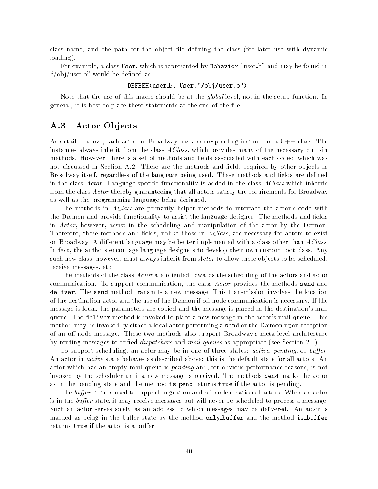class name, and the path for the object file defining the class (for later use with dynamic loading).

For example, a class User, which is represented by Behavior "user b" and may be found in "/obj/user.o" would be defined as.

### DEFBEH(user b, User,"/obj/user.o");

Note that the use of this macro should be at the *global* level, not in the setup function. In general, it is best to place these statements at the end of the file.

## A.3 Actor Ob jects

As detailed above, each actor on Broadway has a corresponding instance of a  $C++$  class. The instances always inherit from the class AClass, which provides many of the necessary built-in methods. However, there is a set of methods and fields associated with each object which was not discussed in Section A.2. These are the methods and fields required by other objects in Broadway itself, regardless of the language being used. These methods and fields are defined in the class  $Action$ . Language-specific functionality is added in the class  $AClass$  which inherits from the class  $Action$  thereby guaranteeing that all actors satisfy the requirements for Broadway as well as the programming language being designed.

The methods in *AClass* are primarily helper methods to interface the actor's code with the Dæmon and provide functionality to assist the language designer. The methods and fields in Actor, however, assist in the scheduling and manipulation of the actor by the Dæmon. Therefore, these methods and fields, unlike those in  $\it{AClass}$ , are necessary for actors to exist on Broadway. A different language may be better implemented with a class other than  $AClass$ In fact, the authors encourage language designers to develop their own custom root class. Any such new class, however, must always inherit from  $Action$  to allow these objects to be scheduled receive messages, etc.

The methods of the class Actor are oriented towards the scheduling of the actors and actor communication. To support communication, the class  $Action$  provides the methods send and deliver. The send method transmits a new message. This transmission involves the location of the destination actor and the use of the Dæmon if off-node communication is necessary. If the message is local, the parameters are copied and the message is placed in the destination's mail queue. The deliver method is invoked to place a new message in the actor's mail queue. This method may be invoked by either a local actor performing a send or the Dæmon upon reception of an off-node message. These two methods also support Broadway's meta-level architecture by routing messages to reified *dispatchers* and *mail queues* as appropriate (see Section 2.1).

To support scheduling, an actor may be in one of three states: *active, pending,* or buffer. An actor in *active* state behaves as described above: this is the default state for all actors. An actor which has an empty mail queue is *pending* and, for obvious performance reasons, is not invoked by the scheduler until a new message is received. The methods pend marks the actor as in the pending state and the method is pend returns true if the actor is pending.

The *buffer* state is used to support migration and off-node creation of actors. When an actor is in the *buffer* state, it may receive messages but will never be scheduled to process a message. Such an actor serves solely as an address to which messages may be delivered. An actor is marked as being in the buffer state by the method only\_buffer and the method is\_buffer returns true if the actor is a buffer.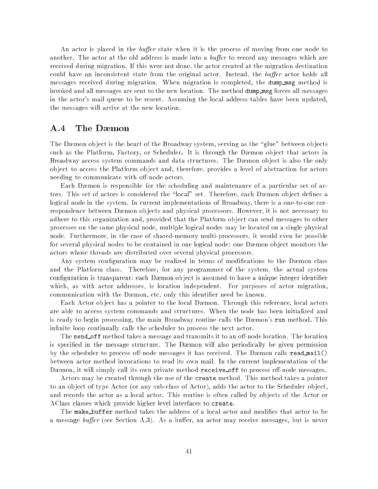An actor is placed in the *buffer* state when it is the process of moving from one node to another. The actor at the old address is made into a  $buffer$  to record any messages which are received during migration. If this were not done, the actor created at the migration destination could have an inconsistent state from the original actor. Instead, the *buffer* actor holds all messages received during migration. When migration is completed, the dump msg method is invoked and all messages are sent to the new location. The method **dump\_msg** forces all messages in the actor's mail queue to be resent. Assuming the local address tables have been updated, the messages will arrive at the new location.

## A.4 The Dæmon

The Dæmon object is the heart of the Broadway system, serving as the "glue" between objects such as the Platform, Factory, or Scheduler. It is through the Dæmon object that actors in Broadway access system commands and data structures. The Dæmon object is also the only ob ject to access the Platform ob ject and, therefore, provides a level of abstraction for actors needing to communicate with off-node actors.

Each Dæmon is responsible for the scheduling and maintenance of a particular set of actors. This set of actors is considered the "local" set. Therefore, each Dæmon object defines a logical node in the system. In current implementations of Broadway, there is a one-to-one correspondence between Dæmon objects and physical processors. However, it is not necessary to adhere to this organization and, provided that the Platform ob ject can send messages to other processes on the same physical node, multiple logical nodes may be located on a single physical node. Furthermore, in the case of shared-memory multi-processors, it would even be possible for several physical nodes to be contained in one logical node: one Dæmon object monitors the actors whose threads are distributed over several physical processors.

Any system configuration may be realized in terms of modifications to the Dæmon class and the Platform class. Therefore, for any programmer of the system, the actual system configuration is transparent: each Dæmon object is assumed to have a unique integer identifier which, as with actor addresses, is location independent. For purposes of actor migration, communication with the Dæmon, etc. only this identifier need be known.

Each Actor object has a pointer to the local Dæmon. Through this reference, local actors are able to access system commands and structures. When the node has been initialized and is ready to begin processing, the main Broadway routine calls the Dæmon's run method. This infinite loop continually calls the scheduler to process the next actor.

The send\_off method takes a message and transmits it to an off-node location. The location is specified in the message structure. The Dæmon will also periodically be given permission by the scheduler to process off-node messages it has received. The Dæmon calls read mail() between actor method invocations to read its own mail. In the current implementation of the Dæmon, it will simply call its own private method receive\_off to process off-node messages.

Actors may be created through the use of the create method. This method takes a pointer to an ob ject of type Actor (or any sub-class of Actor), adds the actor to the Scheduler ob ject, and records the actor as a local actor. This routine is often called by ob jects of the Actor or AClass classes which provide higher level interfaces to create.

The make\_buffer method takes the address of a local actor and modifies that actor to be a message  $buffer$  (see Section A.3). As a buffer, an actor may receive messages, but is never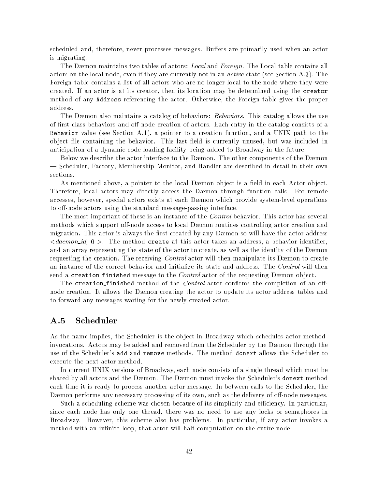scheduled and, therefore, never processes messages. Buffers are primarily used when an actor is migrating.

The Dæmon maintains two tables of actors: Local and Foreign. The Local table contains all actors on the local node, even if they are currently not in an *active* state (see Section A.3). The Foreign table contains a list of all actors who are no longer local to the node where they were created. If an actor is at its creator, then its location may be determined using the creator method of any Address referencing the actor. Otherwise, the Foreign table gives the proper address.

The Dæmon also maintains a catalog of behaviors: *Behaviors*. This catalog allows the use of first class behaviors and off-node creation of actors. Each entry in the catalog consists of a Behavior value (see Section A.1), a pointer to a creation function, and a UNIX path to the object file containing the behavior. This last field is currently unused, but was included in anticipation of a dynamic code loading facility being added to Broadway in the future.

Below we describe the actor interface to the Dæmon. The other components of the Dæmon | Scheduler, Factory, Membership Monitor, and Handler are described in detail in their own sections.

As mentioned above, a pointer to the local Dæmon object is a field in each Actor object. Therefore, local actors may directly access the Dæmon through function calls. For remote accesses, however, special actors exists at each Dæmon which provide system-level operations to off-node actors using the standard message-passing interface.

The most important of these is an instance of the *Control* behavior. This actor has several methods which support off-node access to local Dæmon routines controlling actor creation and migration. This actor is always the first created by any Dæmon so will have the actor address  $\alpha$ daemon id,  $0$  >. The method create at this actor takes an address, a behavior identifier, and an array representing the state of the actor to create, as well as the identity of the Dæmon requesting the creation. The receiving *Control* actor will then manipulate its Dæmon to create an instance of the correct behavior and initialize its state and address. The *Control* will then send a creation finished message to the *Control* actor of the requesting Dæmon object.

The creation finished method of the *Control* actor confirms the completion of an offnode creation. It allows the Dæmon creating the actor to update its actor address tables and to forward any messages waiting for the newly created actor.

## A.5 Scheduler

As the name implies, the Scheduler is the ob ject in Broadway which schedules actor methodinvocations. Actors may be added and removed from the Scheduler by the Dæmon through the use of the Scheduler's add and remove methods. The method donext allows the Scheduler to execute the next actor method.

In current UNIX versions of Broadway, each node consists of a single thread which must be shared by all actors and the Dæmon. The Dæmon must invoke the Scheduler's donext method each time it is ready to process another actor message. In between calls to the Scheduler, the Dæmon performs any necessary processing of its own, such as the delivery of off-node messages.

Such a scheduling scheme was chosen because of its simplicity and efficiency. In particular, since each node has only one thread, there was no need to use any locks or semaphores in Broadway. However, this scheme also has problems. In particular, if any actor invokes a method with an infinite loop, that actor will halt computation on the entire node.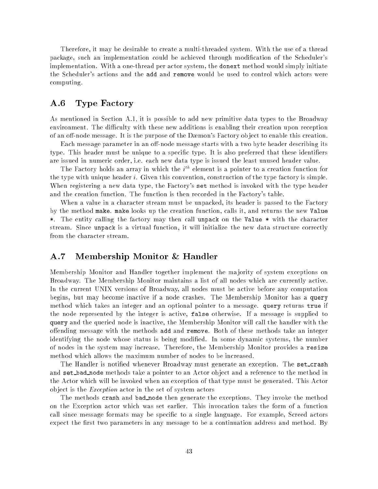Therefore, it may be desirable to create a multi-threaded system. With the use of a thread package, such an implementation could be achieved through modication of the Scheduler's implementation. With a one-thread per actor system, the donext method would simply initiate the Scheduler's actions and the add and remove would be used to control which actors were computing.

## A.6 Type Factory

As mentioned in Section A.1, it is possible to add new primitive data types to the Broadway environment. The difficulty with these new additions is enabling their creation upon reception of an off-node message. It is the purpose of the Dæmon's Factory object to enable this creation.

Each message parameter in an off-node message starts with a two byte header describing its type. This header must be unique to a specific type. It is also preferred that these identifiers are issued in numeric order, i.e. each new data type is issued the least unused header value.

The Factory holds an array in which the  $i^{\,\cdots}$  element is a pointer to a creation function for the type with unique header  $i$ . Given this convention, construction of the type factory is simple. When registering a new data type, the Factory's set method is invoked with the type header and the creation function. The function is then recorded in the Factory's table.

When a value in a character stream must be unpacked, its header is passed to the Factory by the method make. make looks up the creation function, calls it, and returns the new Value \*. The entity calling the factory may then call unpack on the Value \* with the character stream. Since unpack is a virtual function, it will initialize the new data structure correctly from the character stream.

## A.7 Membership Monitor & Handler

Membership Monitor and Handler together implement the ma jority of system exceptions on Broadway. The Membership Monitor maintains a list of all nodes which are currently active. In the current UNIX versions of Broadway, all nodes must be active before any computation begins, but may become inactive if a node crashes. The Membership Monitor has a query method which takes an integer and an optional pointer to a message. query returns true if the node represented by the integer is active, false otherwise. If a message is supplied to query and the queried node is inactive, the Membership Monitor will call the handler with the offending message with the methods add and remove. Both of these methods take an integer identifying the node whose status is being modified. In some dynamic systems, the number of nodes in the system may increase. Therefore, the Membership Monitor provides a resize method which allows the maximum number of nodes to be increased.

The Handler is notified whenever Broadway must generate an exception. The set\_crash and set bad node methods take a pointer to an Actor ob ject and a reference to the method in the Actor which will be invoked when an exception of that type must be generated. This Actor object is the *Exception* actor in the set of system actors

The methods crash and bad node then generate the exceptions. They invoke the method on the Exception actor which was set earlier. This invocation takes the form of a function call since message formats may be specific to a single language. For example, Screed actors expect the first two parameters in any message to be a continuation address and method. By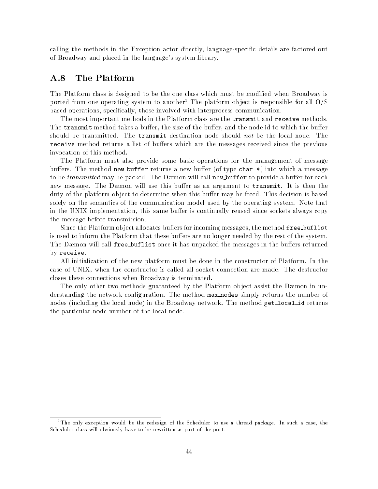calling the methods in the Exception actor directly, language-specific details are factored out of Broadway and placed in the language's system library.

## A.8 The Platform

The Platform class is designed to be the one class which must be modified when Broadway is ported from one operating system to another<sup>1</sup> The platform object is responsible for all  $O/S$ based operations, specically, those involved with interprocess communication.

The most important methods in the Platform class are the transmit and receive methods. The  ${\tt transmit}$  method takes a buffer, the size of the buffer, and the node id to which the buffer should be transmitted. The  $\tt{transmit}$  destination node should  $not$  be the local node. The receive method returns a list of buffers which are the messages received since the previous invocation of this method.

The Platform must also provide some basic operations for the management of message buffers. The method new buffer returns a new buffer (of type char  $\ast$ ) into which a message to be *transmitted* may be packed. The Dæmon will call new buffer to provide a buffer for each new message. The Dæmon will use this buffer as an argument to transmit. It is then the duty of the platform object to determine when this buffer may be freed. This decision is based solely on the semantics of the communication model used by the operating system. Note that in the UNIX implementation, this same buffer is continually reused since sockets always copy the message before transmission.

Since the Platform object allocates buffers for incoming messages, the method free buflist is used to inform the Platform that these buffers are no longer needed by the rest of the system. The Dæmon will call free\_buflist once it has unpacked the messages in the buffers returned by receive.

All initialization of the new platform must be done in the constructor of Platform. In the case of UNIX, when the constructor is called all socket connection are made. The destructor closes these connections when Broadway is terminated.

The only other two methods guaranteed by the Platform object assist the Dæmon in understanding the network configuration. The method max nodes simply returns the number of nodes (including the local node) in the Broadway network. The method get\_local\_id returns the particular node number of the local node.

<sup>1</sup> The only exception would be the redesign of the Scheduler to use a thread package. In such a case, the Scheduler class will obviously have to be rewritten as part of the port.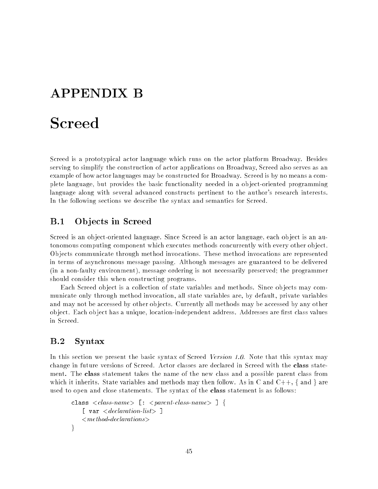## APPENDIX B

# Screed

Screed is a prototypical actor language which runs on the actor platform Broadway. Besides serving to simplify the construction of actor applications on Broadway, Screed also serves as an example of how actor languages may be constructed for Broadway. Screed is by no means a complete language, but provides the basic functionality needed in a ob ject-oriented programming language along with several advanced constructs pertinent to the author's research interests. In the following sections we describe the syntax and semantics for Screed.

#### $B.1$ Objects in Screed

Screed is an ob ject-oriented language. Since Screed is an actor language, each ob ject is an autonomous computing component which executes methods concurrently with every other ob ject. Ob jects communicate through method invocations. These method invocations are represented in terms of asynchronous message passing. Although messages are guaranteed to be delivered (in a non-faulty environment), message ordering is not necessarily preserved; the programmer should consider this when constructing programs.

Each Screed ob ject is a collection of state variables and methods. Since ob jects may communicate only through method invocation, all state variables are, by default, private variables and may not be accessed by other ob jects. Currently all methods may be accessed by any other object. Each object has a unique, location-independent address. Addresses are first class values in Screed.

#### $\rm B.2$ Syntax

In this section we present the basic syntax of Screed Version 1.0. Note that this syntax may change in future versions of Screed. Actor classes are declared in Screed with the class statement. The class statement takes the name of the new class and a possible parent class from which it inherits. State variables and methods may then follow. As in C and  $C_{++}$ , { and } are used to open and close statements. The syntax of the class statement is as follows:

```
class \langle \textit{class-name} \rangle [: \langle \textit{parent-class-name} \rangle ] {
     [ var < declaration-list> ]
     \langle method-declarations\rangle\}
```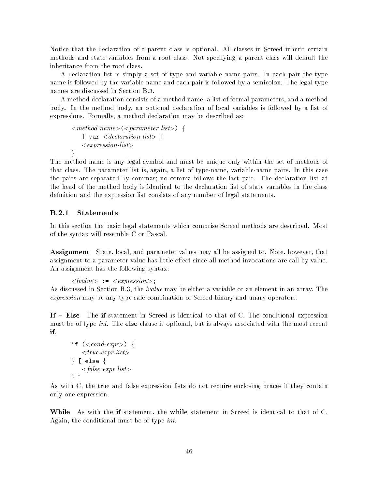Notice that the declaration of a parent class is optional. All classes in Screed inherit certain methods and state variables from a root class. Not specifying a parent class will default the inheritance from the root class.

A declaration list is simply a set of type and variable name pairs. In each pair the type name is followed by the variable name and each pair is followed by a semicolon. The legal type names are discussed in Section B.3.

A method declaration consists of a method name, a list of formal parameters, and a method body. In the method body, an optional declaration of local variables is followed by a list of expressions. Formally, a method declaration may be described as:

```
\langle method-name\rangle(\langleparameter-list\rangle) {
     [ var \langle declaration-list\rangle ]
     \langle expression-list \rangle\mathcal{E}
```
The method name is any legal symbol and must be unique only within the set of methods of that class. The parameter list is, again, a list of type-name, variable-name pairs. In this case the pairs are separated by commas; no comma follows the last pair. The declaration list at the head of the method body is identical to the declaration list of state variables in the class denition and the expression list consists of any number of legal statements.

### B.2.1 Statements

In this section the basic legal statements which comprise Screed methods are described. Most of the syntax will resemble C or Pascal.

Assignment State, local, and parameter values may all be assigned to. Note, however, that assignment to a parameter value has little effect since all method invocations are call-by-value. An assignment has the following syntax:

```
\langle \text{value} \rangle := \langle \text{expression} \rangle;
```
As discussed in Section B.3, the lvalue may be either a variable or an element in an array. The expression may be any type-safe combination of Screed binary and unary operators.

 $If - Else$ The **if** statement in Screed is identical to that of C. The conditional expression must be of type int. The else clause is optional, but is always associated with the most recent if.

```
if (<i>cond-expr</i>) {
      \langle true\text{-}expr\text{-}list \rangle. <u>. . .</u> . .
      \langle false\text{-}expr\text{-}list \rangleg ]
```
As with C, the true and false expression lists do not require enclosing braces if they contain only one expression.

While As with the if statement, the while statement in Screed is identical to that of C. Again, the conditional must be of type int.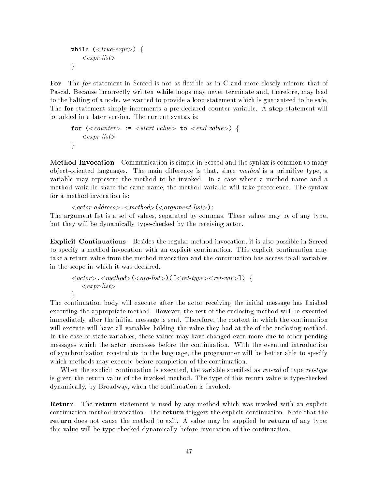```
while (<true-expr>)\ \{\langle expr\text{-}list \ranglega ka
```
ga ka

For The for statement in Screed is not as flexible as in C and more closely mirrors that of Pascal. Because incorrectly written while loops may never terminate and, therefore, may lead to the halting of a node, we wanted to provide a loop statement which is guaranteed to be safe. The for statement simply increments a pre-declared counter variable. A step statement will be added in a later version. The current syntax is:

```
for (<i>counter</i>) := <i>start-value</i> to <i>send-value</i>) {
     \langle expr\text{-}list \rangle\}
```
Method Invocation Communication is simple in Screed and the syntax is common to many object-oriented languages. The main difference is that, since  $method$  is a primitive type, a variable may represent the method to be invoked. In a case where a method name and a method variable share the same name, the method variable will take precedence. The syntax for a method invocation is:

```
\langle \langle \mathit{actor}\text{-}address \rangle. \langle \mathit{method} \rangle(\langle \mathit{argument}\text{-}list \rangle);
```
The argument list is a set of values, separated by commas. These values may be of any type, but they will be dynamically type-checked by the receiving actor.

Explicit Continuations Besides the regular method invocation, it is also possible in Screed to specify a method invocation with an explicit continuation. This explicit continuation may take a return value from the method invocation and the continuation has access to all variables in the scope in which it was declared.

```
\langle \langle \mathit{actor} \rangle. \langle \mathit{method} \rangle(\langle \mathit{arg-list} \rangle) ([\langle \mathit{ret-type} \rangle\langle \mathit{ret-var} \rangle]) {
          \langle expr\text{-}list \rangle
```
The continuation body will execute after the actor receiving the initial message has finished executing the appropriate method. However, the rest of the enclosing method will be executed immediately after the initial message is sent. Therefore, the context in which the continuation will execute will have all variables holding the value they had at the of the enclosing method. In the case of state-variables, these values may have changed even more due to other pending messages which the actor processes before the continuation. With the eventual introduction of synchronization constraints to the language, the programmer will be better able to specify which methods may execute before completion of the continuation.

When the explicit continuation is executed, the variable specified as ret-val of type ret-type is given the return value of the invoked method. The type of this return value is type-checked dynamically, by Broadway, when the continuation is invoked.

**Return** The **return** statement is used by any method which was invoked with an explicit continuation method invocation. The **return** triggers the explicit continuation. Note that the return does not cause the method to exit. A value may be supplied to return of any type; this value will be type-checked dynamically before invocation of the continuation.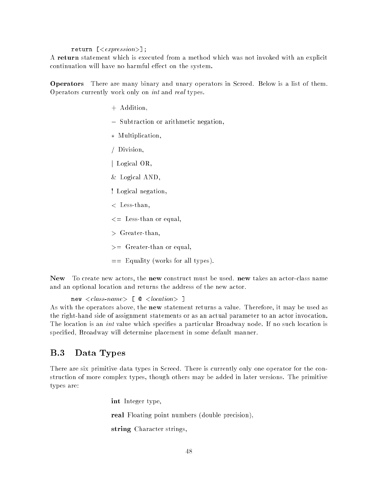return  $[<\epsilon$ *expression* $>$ ];

A return statement which is executed from a method which was not invoked with an explicit continuation will have no harmful effect on the system.

Operators There are many binary and unary operators in Screed. Below is a list of them. Operators currently work only on int and real types.

- + Addition,
- Subtraction or arithmetic negation,
- $\ldots$
- / Division,

j Logical OR,

- & Logical AND,
- ! Logical negation,
- < Less-than,
- $\leq$  Less-than or equal,
- > Greater-than,
- >= Greater-than or equal,
- $=$  Equality (works for all types).

New To create new actors, the new construct must be used. new takes an actor-class name and an optional location and returns the address of the new actor.

 $new  [$  ©  $]$ 

As with the operators above, the new statement returns a value. Therefore, it may be used as the right-hand side of assignment statements or as an actual parameter to an actor invocation. The location is an *int* value which specifies a particular Broadway node. If no such location is specied, Broadway will determine placement in some default manner.

## B.3 Data Types

There are six primitive data types in Screed. There is currently only one operator for the construction of more complex types, though others may be added in later versions. The primitive types are:

> int Integer type, real Floating point numbers (double precision), string Character strings,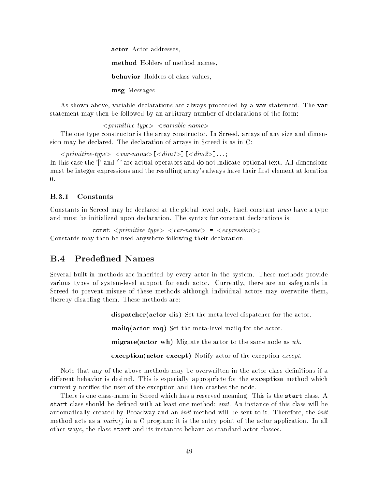actor Actor addresses, method Holders of method names, behavior Holders of class values, msg Messages

As shown above, variable declarations are always proceeded by a **var** statement. The **var** statement may then be followed by an arbitrary number of declarations of the form:

 $\langle$  primitive type $\rangle$   $\langle$  variable-name $\rangle$ 

The one type constructor is the array constructor. In Screed, arrays of any size and dimension may be declared. The declaration of arrays in Screed is as in C:

 $\langle \text{primitive-type} \rangle \langle \text{var-name} \rangle$ [ $\langle \text{dim1} \rangle$ ][ $\langle \text{dim2} \rangle$ ].; In this case the '[' and ']' are actual operators and do not indicate optional text. All dimensions must be integer expressions and the resulting array's always have their first element at location 0.

### B.3.1 Constants

Constants in Screed may be declared at the global level only. Each constant must have a type and must be initialized upon declaration. The syntax for constant declarations is:

const  $\langle$  primitive type $\rangle$   $\langle$  var-name $\rangle$  =  $\langle$  expression $\rangle$ ; Constants may then be used anywhere following their declaration.

#### $B.4$ Predefined Names

Several built-in methods are inherited by every actor in the system. These methods provide various types of system-level support for each actor. Currently, there are no safeguards in Screed to prevent misuse of these methods although individual actors may overwrite them, thereby disabling them. These methods are:

> dispatcher(actor dis) Set the meta-level dispatcher for the actor. mailq(actor mq) Set the meta-level mailq for the actor. migrate(actor wh) Migrate the actor to the same node as wh. exception(actor except) Notify actor of the exception except.

Note that any of the above methods may be overwritten in the actor class definitions if a different behavior is desired. This is especially appropriate for the **exception** method which currently noties the user of the exception and then crashes the node.

There is one class-name in Screed which has a reserved meaning. This is the start class. A  $\tt start$  class should be defined with at least one method:  $init.$  An instance of this class will be automatically created by Broadway and an *init* method will be sent to it. Therefore, the *init* method acts as a  $main()$  in a C program; it is the entry point of the actor application. In all other ways, the class start and its instances behave as standard actor classes.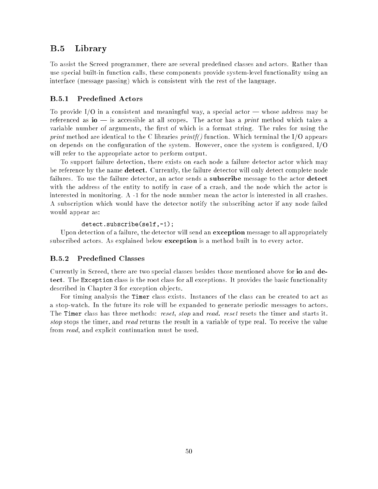## B.5 Library

To assist the Screed programmer, there are several predefined classes and actors. Rather than use special built-in function calls, these components provide system-level functionality using an interface (message passing) which is consistent with the rest of the language.

### B.5.1 Predened Actors

To provide I/O in a consistent and meaningful way, a special actor — whose address may be referenced as  $\mathbf{io}$  - is accessible at all scopes. The actor has a *print* method which takes a variable number of arguments, the first of which is a format string. The rules for using the print method are identical to the C libraries printf() function. Which terminal the I/O appears on depends on the configuration of the system. However, once the system is configured,  $I/O$ will refer to the appropriate actor to perform output.

To support failure detection, there exists on each node a failure detector actor which may be reference by the name detect. Currently, the failure detector will only detect complete node failures. To use the failure detector, an actor sends a **subscribe** message to the actor **detect** with the address of the entity to notify in case of a crash, and the node which the actor is interested in monitoring. A -1 for the node number mean the actor is interested in all crashes. A subscription which would have the detector notify the subscribing actor if any node failed would appear as:

### detect.subscribe(self,-1);

Upon detection of a failure, the detector will send an **exception** message to all appropriately subscribed actors. As explained below **exception** is a method built in to every actor.

### **B.5.2** Predefined Classes

Currently in Screed, there are two special classes besides those mentioned above for io and detect. The Exception class is the root class for all exceptions. It provides the basic functionality described in Chapter 3 for exception ob jects.

For timing analysis the Timer class exists. Instances of the class can be created to act as a stop-watch. In the future its role will be expanded to generate periodic messages to actors. The Timer class has three methods: *reset, stop* and *read. reset* resets the timer and starts it. stop stops the timer, and *read* returns the result in a variable of type real. To receive the value from *read*, and explicit continuation must be used.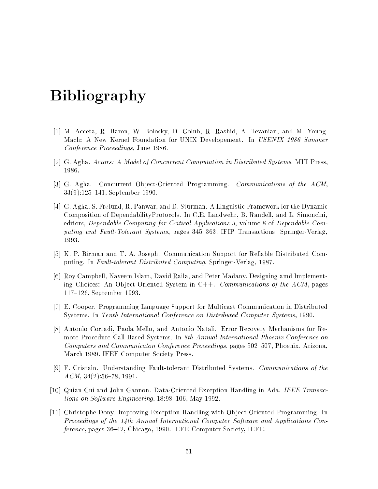# Bibliography

- [1] M. Acceta, R. Baron, W. Bolosky, D. Golub, R. Rashid, A. Tevanian, and M. Young. Mach: A New Kernel Foundation for UNIX Developement. In USENIX 1986 Summer Conference Proceedings, June 1986.
- [2] G. Agha. Actors: A Model of Concurrent Computation in Distributed Systems. MIT Press, 1986.
- [3] G. Agha. Concurrent Ob ject-Oriented Programming. Communications of the ACM, 33(9):125–141, September 1990.
- [4] G. Agha, S. Frølund, R. Panwar, and D. Sturman. A Linguistic Framework for the Dynamic Composition of DependabilityProtocols. In C.E. Landwehr, B. Randell, and L. Simoncini, editors, Dependable Computing for Critical Applications 3, volume 8 of Dependable Computing and Fault-Tolerant Systems, pages 345-363. IFIP Transactions, Springer-Verlag 1993.
- [5] K. P. Birman and T. A. Joseph. Communication Support for Reliable Distributed Computing. In Fault-tolerant Distributed Computing. Springer-Verlag, 1987.
- [6] Roy Campbell, Nayeem Islam, David Raila, and Peter Madany. Designing amd Implementing Choices: An Object-Oriented System in  $C++$ . *Communications of the ACM*, pages 117-126, September 1993.
- [7] E. Cooper. Programming Language Support for Multicast Communication in Distributed Systems. In Tenth International Conference on Distributed Computer Systems, 1990.
- [8] Antonio Corradi, Paola Mello, and Antonio Natali. Error Recovery Mechanisms for Remote Procedure Call-Based Systems. In 8th Annual International Phoenix Conference on Computers and Communicaton Conference Proceedings, pages 502-507, Phoenix, Arizona, March 1989. IEEE Computer Society Press.
- [9] F. Cristain. Understanding Fault-tolerant Distributed Systems. Communications of the  $ACM$ ,  $34(2):56–78$ ,  $1991$ .
- [10] Quian Cui and John Gannon. Data-Oriented Exception Handling in Ada. IEEE Transactions on Software Engineering,  $18:98-106$ , May 1992.
- [11] Christophe Dony. Improving Exception Handling with Ob ject-Oriented Programming. In Proceedings of the 14th Annual International Computer Software and Applications Conference, pages 36–42, Chicago, 1990. IEEE Computer Society, IEEE.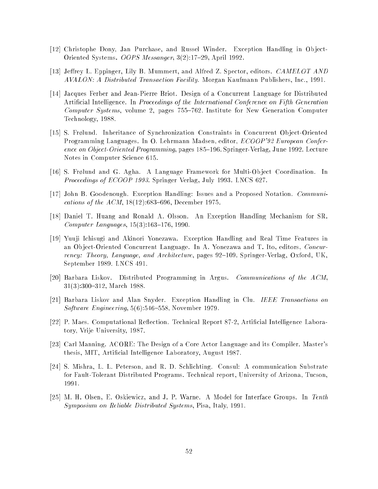- [12] Christophe Dony, Jan Purchase, and Russel Winder. Exception Handling in Ob ject-Oriented Systems. OOPS Messanger, 3(2):17-29, April 1992.
- [13] Jeffrey L. Eppinger, Lily B. Mummert, and Alfred Z. Spector, editors. *CAMELOT AND* AVALON: A Distributed Transaction Facility. Morgan Kaufmann Publishers, Inc., 1991.
- [14] Jacques Ferber and Jean-Pierre Briot. Design of a Concurrent Language for Distributed Articial Intelligence. In Proceedings of the International Conference on Fifth Generation Computer Systems, volume 2, pages 755-762. Institute for New Generation Computer Technology, 1988.
- [15] S. Frølund. Inheritance of Synchronization Constraints in Concurrent Object-Oriented Programming Languages. In O. Lehrmann Madsen, editor, *ECOOP'92 European Confer*ence on Object-Oriented Programming, pages 185–196. Springer-Verlag, June 1992. Lecture Notes in Computer Science 615.
- [16] S. Frølund and G. Agha. A Language Framework for Multi-Object Coordination. In Proceedings of ECOOP 1993. Springer Verlag, July 1993. LNCS 627.
- [17] John B. Goodenough. Exception Handling: Issues and a Proposed Notation. Communications of the  $ACM$ , 18(12):683-696, December 1975.
- [18] Daniel T. Huang and Ronald A. Olsson. An Exception Handling Mechanism for SR. Computer Languages,  $15(3):163-176$ , 1990.
- [19] Yuuji Ichisugi and Akinori Yonezawa. Exception Handling and Real Time Features in an Object-Oriented Concurrent Language. In A. Yonezawa and T. Ito, editors,  $\it Concur$ rency: Theory, Language, and Architecture, pages  $92-109$ . Springer-Verlag, Oxford, UK, September 1989. LNCS 491.
- [20] Barbara Liskov. Distributed Programming in Argus. Communications of the ACM, 31(3):300-312, March 1988.
- [21] Barbara Liskov and Alan Snyder. Exception Handling in Clu. IEEE Transactions on Software Engineering,  $5(6)$ :546-558, November 1979.
- [22] P. Maes. Computational Reflection. Technical Report 87-2, Artificial Intelligence Laboratory, Vrije University, 1987.
- [23] Carl Manning. ACORE: The Design of a Core Actor Language and its Compiler. Master's thesis, MIT, Articial Intelligence Laboratory, August 1987.
- [24] S. Mishra, L. L. Peterson, and R. D. Schlichting. Consul: A communication Substrate for Fault-Tolerant Distributed Programs. Technical report, University of Arizona, Tucson, 1991.
- [25] M. H. Olsen, E. Oskiewicz, and J. P. Warne. A Model for Interface Groups. In Tenth Symposium on Reliable Distributed Systems, Pisa, Italy, 1991.